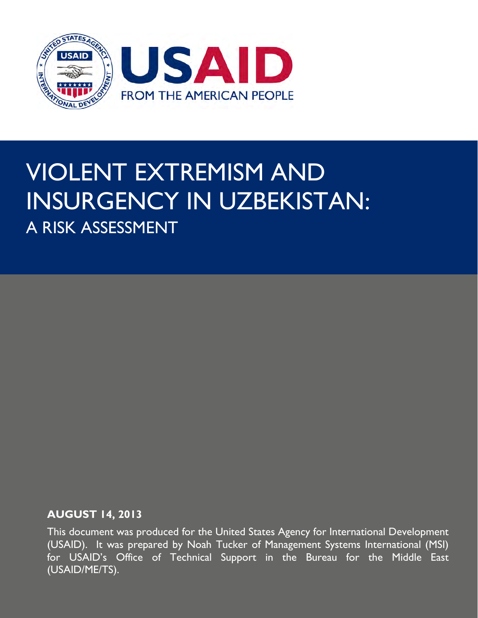

# VIOLENT EXTREMISM AND INSURGENCY IN UZBEKISTAN: A RISK ASSESSMENT

#### **AUGUST 14, 2013**

This document was produced for the United States Agency for International Development (USAID). It was prepared by Noah Tucker of Management Systems International (MSI) for USAID's Office of Technical Support in the Bureau for the Middle East (USAID/ME/TS).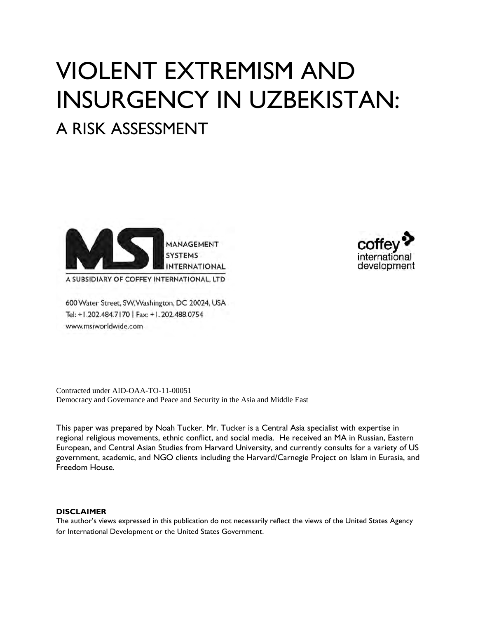# VIOLENT EXTREMISM AND INSURGENCY IN UZBEKISTAN:

# A RISK ASSESSMENT



A SUBSIDIARY OF COFFEY INTERNATIONAL, LTD

600 Water Street, SW, Washington, DC 20024, USA Tel: +1.202.484.7170 | Fax: +1.202.488.0754 www.msiworldwide.com



Contracted under AID-OAA-TO-11-00051 Democracy and Governance and Peace and Security in the Asia and Middle East

This paper was prepared by Noah Tucker. Mr. Tucker is a Central Asia specialist with expertise in regional religious movements, ethnic conflict, and social media. He received an MA in Russian, Eastern European, and Central Asian Studies from Harvard University, and currently consults for a variety of US government, academic, and NGO clients including the Harvard/Carnegie Project on Islam in Eurasia, and Freedom House.

#### **DISCLAIMER**

The author's views expressed in this publication do not necessarily reflect the views of the United States Agency for International Development or the United States Government.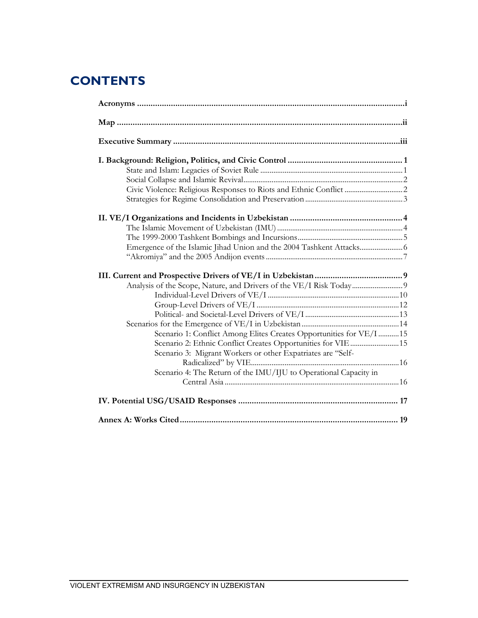# **CONTENTS**

| Civic Violence: Religious Responses to Riots and Ethnic Conflict  2 |  |
|---------------------------------------------------------------------|--|
|                                                                     |  |
|                                                                     |  |
|                                                                     |  |
|                                                                     |  |
|                                                                     |  |
|                                                                     |  |
|                                                                     |  |
|                                                                     |  |
|                                                                     |  |
|                                                                     |  |
|                                                                     |  |
|                                                                     |  |
|                                                                     |  |
|                                                                     |  |
| Scenario 1: Conflict Among Elites Creates Opportunities for VE/I 15 |  |
| Scenario 2: Ethnic Conflict Creates Opportunities for VIE  15       |  |
| Scenario 3: Migrant Workers or other Expatriates are "Self-         |  |
|                                                                     |  |
| Scenario 4: The Return of the IMU/IJU to Operational Capacity in    |  |
|                                                                     |  |
|                                                                     |  |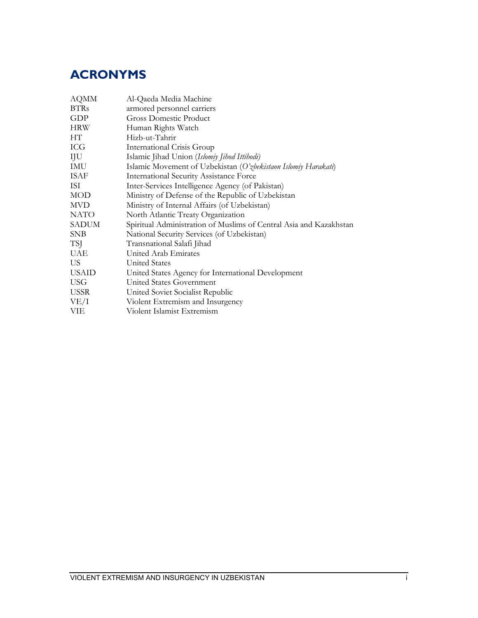# **ACRONYMS**

| <b>AQMM</b>  | Al-Qaeda Media Machine                                             |  |  |  |
|--------------|--------------------------------------------------------------------|--|--|--|
| <b>BTRs</b>  | armored personnel carriers                                         |  |  |  |
| GDP          | Gross Domestic Product                                             |  |  |  |
| <b>HRW</b>   | Human Rights Watch                                                 |  |  |  |
| HТ           | Hizb-ut-Tahrir                                                     |  |  |  |
| ICG          | <b>International Crisis Group</b>                                  |  |  |  |
| IJU          | Islamic Jihad Union (Islomiy Jihod Ittihodi)                       |  |  |  |
| IMU          | Islamic Movement of Uzbekistan (O'zbekistaon Islomiy Harakati)     |  |  |  |
| <b>ISAF</b>  | <b>International Security Assistance Force</b>                     |  |  |  |
| ISI          | Inter-Services Intelligence Agency (of Pakistan)                   |  |  |  |
| MOD          | Ministry of Defense of the Republic of Uzbekistan                  |  |  |  |
| <b>MVD</b>   | Ministry of Internal Affairs (of Uzbekistan)                       |  |  |  |
| NATO         | North Atlantic Treaty Organization                                 |  |  |  |
| <b>SADUM</b> | Spiritual Administration of Muslims of Central Asia and Kazakhstan |  |  |  |
| <b>SNB</b>   | National Security Services (of Uzbekistan)                         |  |  |  |
| TSJ          | Transnational Salafi Jihad                                         |  |  |  |
| UAE          | United Arab Emirates                                               |  |  |  |
| US.          | <b>United States</b>                                               |  |  |  |
| <b>USAID</b> | United States Agency for International Development                 |  |  |  |
| <b>USG</b>   | United States Government                                           |  |  |  |
| <b>USSR</b>  | United Soviet Socialist Republic                                   |  |  |  |
| VE/I         | Violent Extremism and Insurgency                                   |  |  |  |
| VIE          | Violent Islamist Extremism                                         |  |  |  |
|              |                                                                    |  |  |  |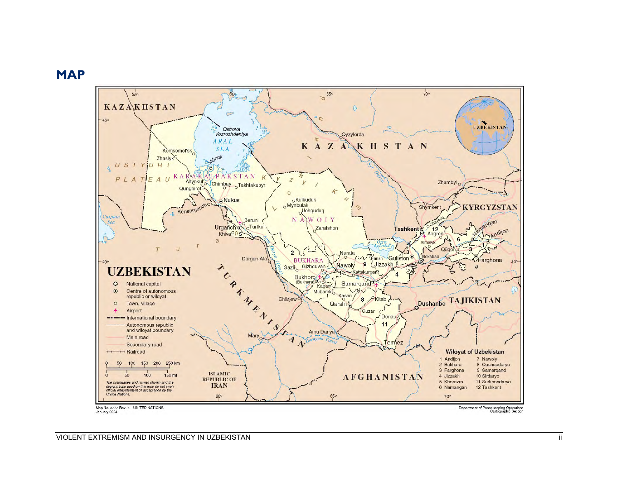## **MAP**

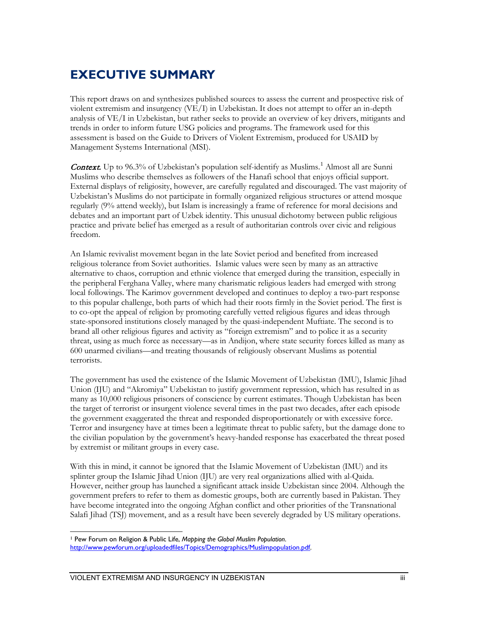# **EXECUTIVE SUMMARY**

This report draws on and synthesizes published sources to assess the current and prospective risk of violent extremism and insurgency (VE/I) in Uzbekistan. It does not attempt to offer an in-depth analysis of VE/I in Uzbekistan, but rather seeks to provide an overview of key drivers, mitigants and trends in order to inform future USG policies and programs. The framework used for this assessment is based on the Guide to Drivers of Violent Extremism, produced for USAID by Management Systems International (MSI).

**Context.** Up to 96.3% of Uzbekistan's population self-identify as Muslims.<sup>[1](#page-5-0)</sup> Almost all are Sunni Muslims who describe themselves as followers of the Hanafi school that enjoys official support. External displays of religiosity, however, are carefully regulated and discouraged. The vast majority of Uzbekistan's Muslims do not participate in formally organized religious structures or attend mosque regularly (9% attend weekly), but Islam is increasingly a frame of reference for moral decisions and debates and an important part of Uzbek identity. This unusual dichotomy between public religious practice and private belief has emerged as a result of authoritarian controls over civic and religious freedom.

An Islamic revivalist movement began in the late Soviet period and benefited from increased religious tolerance from Soviet authorities. Islamic values were seen by many as an attractive alternative to chaos, corruption and ethnic violence that emerged during the transition, especially in the peripheral Ferghana Valley, where many charismatic religious leaders had emerged with strong local followings. The Karimov government developed and continues to deploy a two-part response to this popular challenge, both parts of which had their roots firmly in the Soviet period. The first is to co-opt the appeal of religion by promoting carefully vetted religious figures and ideas through state-sponsored institutions closely managed by the quasi-independent Muftiate. The second is to brand all other religious figures and activity as "foreign extremism" and to police it as a security threat, using as much force as necessary—as in Andijon, where state security forces killed as many as 600 unarmed civilians—and treating thousands of religiously observant Muslims as potential terrorists.

The government has used the existence of the Islamic Movement of Uzbekistan (IMU), Islamic Jihad Union (IJU) and "Akromiya" Uzbekistan to justify government repression, which has resulted in as many as 10,000 religious prisoners of conscience by current estimates. Though Uzbekistan has been the target of terrorist or insurgent violence several times in the past two decades, after each episode the government exaggerated the threat and responded disproportionately or with excessive force. Terror and insurgency have at times been a legitimate threat to public safety, but the damage done to the civilian population by the government's heavy-handed response has exacerbated the threat posed by extremist or militant groups in every case.

With this in mind, it cannot be ignored that the Islamic Movement of Uzbekistan (IMU) and its splinter group the Islamic Jihad Union (IJU) are very real organizations allied with al-Qaida. However, neither group has launched a significant attack inside Uzbekistan since 2004. Although the government prefers to refer to them as domestic groups, both are currently based in Pakistan. They have become integrated into the ongoing Afghan conflict and other priorities of the Transnational Salafi Jihad (TSJ) movement, and as a result have been severely degraded by US military operations.

<span id="page-5-0"></span> $\overline{a}$ <sup>1</sup> Pew Forum on Religion & Public Life, *Mapping the Global Muslim Population*. [http://www.pewforum.org/uploadedfiles/Topics/Demographics/Muslimpopulation.pdf.](http://www.pewforum.org/uploadedfiles/Topics/Demographics/Muslimpopulation.pdf)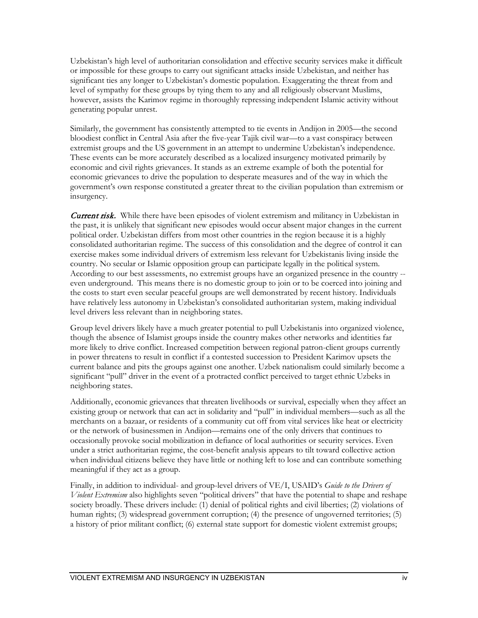Uzbekistan's high level of authoritarian consolidation and effective security services make it difficult or impossible for these groups to carry out significant attacks inside Uzbekistan, and neither has significant ties any longer to Uzbekistan's domestic population. Exaggerating the threat from and level of sympathy for these groups by tying them to any and all religiously observant Muslims, however, assists the Karimov regime in thoroughly repressing independent Islamic activity without generating popular unrest.

Similarly, the government has consistently attempted to tie events in Andijon in 2005—the second bloodiest conflict in Central Asia after the five-year Tajik civil war—to a vast conspiracy between extremist groups and the US government in an attempt to undermine Uzbekistan's independence. These events can be more accurately described as a localized insurgency motivated primarily by economic and civil rights grievances. It stands as an extreme example of both the potential for economic grievances to drive the population to desperate measures and of the way in which the government's own response constituted a greater threat to the civilian population than extremism or insurgency.

**Current risk.** While there have been episodes of violent extremism and militancy in Uzbekistan in the past, it is unlikely that significant new episodes would occur absent major changes in the current political order. Uzbekistan differs from most other countries in the region because it is a highly consolidated authoritarian regime. The success of this consolidation and the degree of control it can exercise makes some individual drivers of extremism less relevant for Uzbekistanis living inside the country. No secular or Islamic opposition group can participate legally in the political system. According to our best assessments, no extremist groups have an organized presence in the country - even underground. This means there is no domestic group to join or to be coerced into joining and the costs to start even secular peaceful groups are well demonstrated by recent history. Individuals have relatively less autonomy in Uzbekistan's consolidated authoritarian system, making individual level drivers less relevant than in neighboring states.

Group level drivers likely have a much greater potential to pull Uzbekistanis into organized violence, though the absence of Islamist groups inside the country makes other networks and identities far more likely to drive conflict. Increased competition between regional patron-client groups currently in power threatens to result in conflict if a contested succession to President Karimov upsets the current balance and pits the groups against one another. Uzbek nationalism could similarly become a significant "pull" driver in the event of a protracted conflict perceived to target ethnic Uzbeks in neighboring states.

Additionally, economic grievances that threaten livelihoods or survival, especially when they affect an existing group or network that can act in solidarity and "pull" in individual members—such as all the merchants on a bazaar, or residents of a community cut off from vital services like heat or electricity or the network of businessmen in Andijon—remains one of the only drivers that continues to occasionally provoke social mobilization in defiance of local authorities or security services. Even under a strict authoritarian regime, the cost-benefit analysis appears to tilt toward collective action when individual citizens believe they have little or nothing left to lose and can contribute something meaningful if they act as a group.

Finally, in addition to individual- and group-level drivers of VE/I, USAID's *Guide to the Drivers of Violent Extremism* also highlights seven "political drivers" that have the potential to shape and reshape society broadly. These drivers include: (1) denial of political rights and civil liberties; (2) violations of human rights; (3) widespread government corruption; (4) the presence of ungoverned territories; (5) a history of prior militant conflict; (6) external state support for domestic violent extremist groups;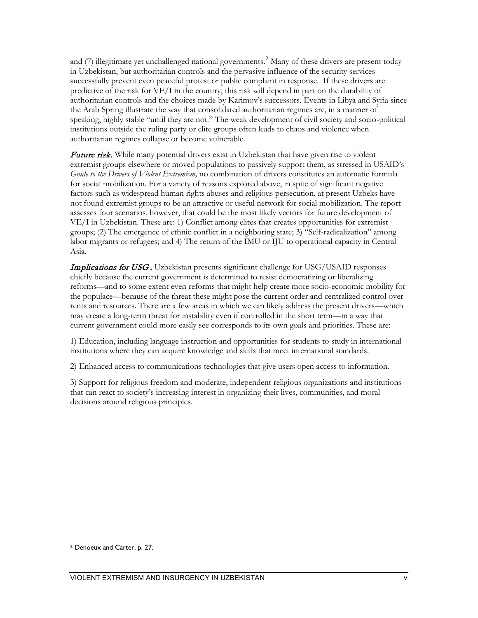and  $(7)$  illegitimate yet unchallenged national governments.<sup>[2](#page-7-0)</sup> Many of these drivers are present today in Uzbekistan, but authoritarian controls and the pervasive influence of the security services successfully prevent even peaceful protest or public complaint in response. If these drivers are predictive of the risk for VE/I in the country, this risk will depend in part on the durability of authoritarian controls and the choices made by Karimov's successors. Events in Libya and Syria since the Arab Spring illustrate the way that consolidated authoritarian regimes are, in a manner of speaking, highly stable "until they are not." The weak development of civil society and socio-political institutions outside the ruling party or elite groups often leads to chaos and violence when authoritarian regimes collapse or become vulnerable.

Future risk. While many potential drivers exist in Uzbekistan that have given rise to violent extremist groups elsewhere or moved populations to passively support them, as stressed in USAID's *Guide to the Drivers of Violent Extremism,* no combination of drivers constitutes an automatic formula for social mobilization. For a variety of reasons explored above, in spite of significant negative factors such as widespread human rights abuses and religious persecution, at present Uzbeks have not found extremist groups to be an attractive or useful network for social mobilization. The report assesses four scenarios, however, that could be the most likely vectors for future development of VE/I in Uzbekistan. These are: 1) Conflict among elites that creates opportunities for extremist groups; (2) The emergence of ethnic conflict in a neighboring state; 3) "Self-radicalization" among labor migrants or refugees; and 4) The return of the IMU or IJU to operational capacity in Central Asia.

**Implications for USG.** Uzbekistan presents significant challenge for USG/USAID responses chiefly because the current government is determined to resist democratizing or liberalizing reforms—and to some extent even reforms that might help create more socio-economic mobility for the populace—because of the threat these might pose the current order and centralized control over rents and resources. There are a few areas in which we can likely address the present drivers—which may create a long-term threat for instability even if controlled in the short term—in a way that current government could more easily see corresponds to its own goals and priorities. These are:

1) Education, including language instruction and opportunities for students to study in international institutions where they can acquire knowledge and skills that meet international standards.

2) Enhanced access to communications technologies that give users open access to information.

3) Support for religious freedom and moderate, independent religious organizations and institutions that can react to society's increasing interest in organizing their lives, communities, and moral decisions around religious principles.

<span id="page-7-0"></span> $\overline{a}$ <sup>2</sup> Denoeux and Carter, p. 27.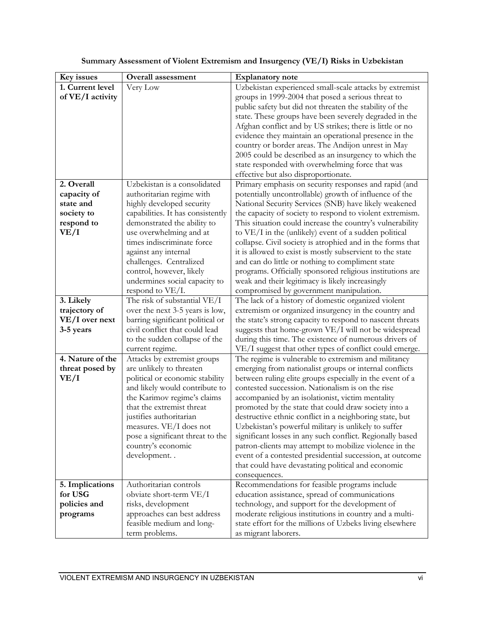| Key issues              | <b>Overall</b> assessment                                         | <b>Explanatory note</b>                                                                                            |
|-------------------------|-------------------------------------------------------------------|--------------------------------------------------------------------------------------------------------------------|
| 1. Current level        | Very Low                                                          | Uzbekistan experienced small-scale attacks by extremist                                                            |
| of VE/I activity        |                                                                   | groups in 1999-2004 that posed a serious threat to                                                                 |
|                         |                                                                   | public safety but did not threaten the stability of the                                                            |
|                         |                                                                   | state. These groups have been severely degraded in the                                                             |
|                         |                                                                   | Afghan conflict and by US strikes; there is little or no                                                           |
|                         |                                                                   | evidence they maintain an operational presence in the                                                              |
|                         |                                                                   | country or border areas. The Andijon unrest in May                                                                 |
|                         |                                                                   | 2005 could be described as an insurgency to which the                                                              |
|                         |                                                                   | state responded with overwhelming force that was                                                                   |
|                         |                                                                   | effective but also disproportionate.                                                                               |
| 2. Overall              | Uzbekistan is a consolidated                                      | Primary emphasis on security responses and rapid (and                                                              |
| capacity of             | authoritarian regime with                                         | potentially uncontrollable) growth of influence of the                                                             |
| state and               | highly developed security                                         | National Security Services (SNB) have likely weakened                                                              |
| society to              | capabilities. It has consistently                                 | the capacity of society to respond to violent extremism.                                                           |
| respond to              | demonstrated the ability to                                       | This situation could increase the country's vulnerability                                                          |
| VE/I                    | use overwhelming and at                                           | to VE/I in the (unlikely) event of a sudden political                                                              |
|                         | times indiscriminate force                                        | collapse. Civil society is atrophied and in the forms that                                                         |
|                         | against any internal                                              | it is allowed to exist is mostly subservient to the state                                                          |
|                         | challenges. Centralized                                           | and can do little or nothing to compliment state                                                                   |
|                         | control, however, likely                                          | programs. Officially sponsored religious institutions are                                                          |
|                         | undermines social capacity to                                     | weak and their legitimacy is likely increasingly                                                                   |
|                         | respond to VE/I.                                                  | compromised by government manipulation.                                                                            |
| 3. Likely               | The risk of substantial VE/I                                      | The lack of a history of domestic organized violent                                                                |
| trajectory of           | over the next 3-5 years is low,                                   | extremism or organized insurgency in the country and                                                               |
| VE/I over next          | barring significant political or                                  | the state's strong capacity to respond to nascent threats                                                          |
| 3-5 years               | civil conflict that could lead                                    | suggests that home-grown VE/I will not be widespread                                                               |
|                         | to the sudden collapse of the                                     | during this time. The existence of numerous drivers of                                                             |
| 4. Nature of the        | current regime.                                                   | VE/I suggest that other types of conflict could emerge.                                                            |
|                         | Attacks by extremist groups                                       | The regime is vulnerable to extremism and militancy                                                                |
| threat posed by<br>VE/I | are unlikely to threaten                                          | emerging from nationalist groups or internal conflicts<br>between ruling elite groups especially in the event of a |
|                         | political or economic stability<br>and likely would contribute to | contested succession. Nationalism is on the rise                                                                   |
|                         | the Karimov regime's claims                                       | accompanied by an isolationist, victim mentality                                                                   |
|                         | that the extremist threat                                         | promoted by the state that could draw society into a                                                               |
|                         | justifies authoritarian                                           | destructive ethnic conflict in a neighboring state, but                                                            |
|                         | measures. VE/I does not                                           | Uzbekistan's powerful military is unlikely to suffer                                                               |
|                         | pose a significant threat to the                                  | significant losses in any such conflict. Regionally based                                                          |
|                         | country's economic                                                | patron-clients may attempt to mobilize violence in the                                                             |
|                         | development                                                       | event of a contested presidential succession, at outcome                                                           |
|                         |                                                                   | that could have devastating political and economic                                                                 |
|                         |                                                                   | consequences.                                                                                                      |
| 5. Implications         | Authoritarian controls                                            | Recommendations for feasible programs include                                                                      |
| for USG                 | obviate short-term VE/I                                           | education assistance, spread of communications                                                                     |
| policies and            | risks, development                                                | technology, and support for the development of                                                                     |
| programs                | approaches can best address                                       | moderate religious institutions in country and a multi-                                                            |
|                         | feasible medium and long-                                         | state effort for the millions of Uzbeks living elsewhere                                                           |
|                         | term problems.                                                    | as migrant laborers.                                                                                               |

#### **Summary Assessment of Violent Extremism and Insurgency (VE/I) Risks in Uzbekistan**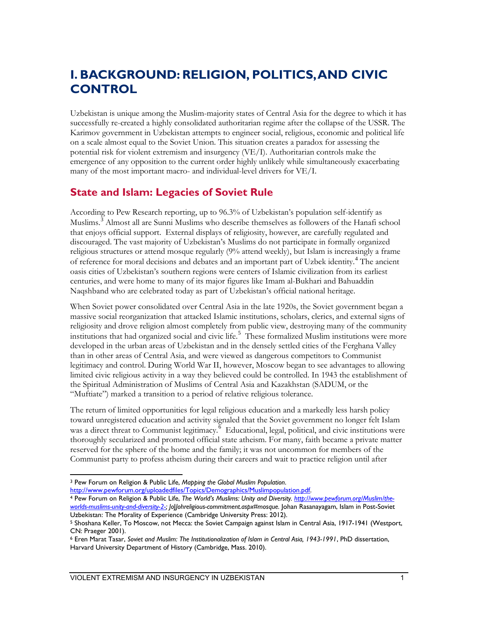# **I. BACKGROUND: RELIGION, POLITICS, AND CIVIC CONTROL**

Uzbekistan is unique among the Muslim-majority states of Central Asia for the degree to which it has successfully re-created a highly consolidated authoritarian regime after the collapse of the USSR. The Karimov government in Uzbekistan attempts to engineer social, religious, economic and political life on a scale almost equal to the Soviet Union. This situation creates a paradox for assessing the potential risk for violent extremism and insurgency (VE/I). Authoritarian controls make the emergence of any opposition to the current order highly unlikely while simultaneously exacerbating many of the most important macro- and individual-level drivers for VE/I.

## **State and Islam: Legacies of Soviet Rule**

According to Pew Research reporting, up to 96.3% of Uzbekistan's population self-identify as Muslims.[3](#page-9-0) Almost all are Sunni Muslims who describe themselves as followers of the Hanafi school that enjoys official support. External displays of religiosity, however, are carefully regulated and discouraged. The vast majority of Uzbekistan's Muslims do not participate in formally organized religious structures or attend mosque regularly (9% attend weekly), but Islam is increasingly a frame of reference for moral decisions and debates and an important part of Uzbek identity.<sup>[4](#page-9-1)</sup> The ancient oasis cities of Uzbekistan's southern regions were centers of Islamic civilization from its earliest centuries, and were home to many of its major figures like Imam al-Bukhari and Bahuaddin Naqshband who are celebrated today as part of Uzbekistan's official national heritage.

When Soviet power consolidated over Central Asia in the late 1920s, the Soviet government began a massive social reorganization that attacked Islamic institutions, scholars, clerics, and external signs of religiosity and drove religion almost completely from public view, destroying many of the community institutions that had organized social and civic life.<sup>[5](#page-9-2)</sup> These formalized Muslim institutions were more developed in the urban areas of Uzbekistan and in the densely settled cities of the Ferghana Valley than in other areas of Central Asia, and were viewed as dangerous competitors to Communist legitimacy and control. During World War II, however, Moscow began to see advantages to allowing limited civic religious activity in a way they believed could be controlled. In 1943 the establishment of the Spiritual Administration of Muslims of Central Asia and Kazakhstan (SADUM, or the "Muftiate") marked a transition to a period of relative religious tolerance.

The return of limited opportunities for legal religious education and a markedly less harsh policy toward unregistered education and activity signaled that the Soviet government no longer felt Islam was a direct threat to Communist legitimacy.<sup>[6](#page-9-3)</sup> Educational, legal, political, and civic institutions were thoroughly secularized and promoted official state atheism. For many, faith became a private matter reserved for the sphere of the home and the family; it was not uncommon for members of the Communist party to profess atheism during their careers and wait to practice religion until after

<span id="page-9-0"></span>[http://www.pewforum.org/uploadedfiles/Topics/Demographics/Muslimpopulation.pdf.](http://www.pewforum.org/uploadedfiles/Topics/Demographics/Muslimpopulation.pdf) 4 Pew Forum on Religion & Public Life, *The World's Muslims: Unity and Diversity. [http://www.pewforum.org/Muslim/the-](http://www.pewforum.org/Muslim/the-worlds-muslims-unity-and-diversity-2-)*

 $\overline{a}$ <sup>3</sup> Pew Forum on Religion & Public Life, *Mapping the Global Muslim Population*.

<span id="page-9-1"></span>*[worlds-muslims-unity-and-diversity-2-;](http://www.pewforum.org/Muslim/the-worlds-muslims-unity-and-diversity-2-) Jo*J*Johreligious-commitment.aspx#mosque.* Johan Rasanayagam, Islam in Post-Soviet Uzbekistan: The Morality of Experience (Cambridge University Press: 2012).

<span id="page-9-2"></span><sup>5</sup> Shoshana Keller, To Moscow, not Mecca: the Soviet Campaign against Islam in Central Asia, 1917-1941 (Westport, CN: Praeger 2001).

<span id="page-9-3"></span><sup>6</sup> Eren Marat Tasar, *Soviet and Muslim: The Institutionalization of Islam in Central Asia, 1943-1991*, PhD dissertation, Harvard University Department of History (Cambridge, Mass. 2010).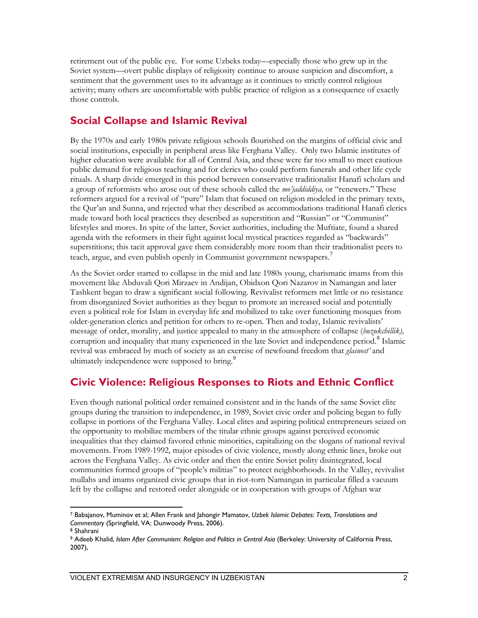retirement out of the public eye. For some Uzbeks today—especially those who grew up in the Soviet system—overt public displays of religiosity continue to arouse suspicion and discomfort, a sentiment that the government uses to its advantage as it continues to strictly control religious activity; many others are uncomfortable with public practice of religion as a consequence of exactly those controls.

## **Social Collapse and Islamic Revival**

By the 1970s and early 1980s private religious schools flourished on the margins of official civic and social institutions, especially in peripheral areas like Ferghana Valley. Only two Islamic institutes of higher education were available for all of Central Asia, and these were far too small to meet cautious public demand for religious teaching and for clerics who could perform funerals and other life cycle rituals. A sharp divide emerged in this period between conservative traditionalist Hanafi scholars and a group of reformists who arose out of these schools called the *mo'jaddiddiya,* or "renewers." These reformers argued for a revival of "pure" Islam that focused on religion modeled in the primary texts, the Qur'an and Sunna, and rejected what they described as accommodations traditional Hanafi clerics made toward both local practices they described as superstition and "Russian" or "Communist" lifestyles and mores. In spite of the latter, Soviet authorities, including the Muftiate, found a shared agenda with the reformers in their fight against local mystical practices regarded as "backwards" superstitions; this tacit approval gave them considerably more room than their traditionalist peers to teach, argue, and even publish openly in Communist government newspapers.<sup>[7](#page-10-0)</sup>

As the Soviet order started to collapse in the mid and late 1980s young, charismatic imams from this movement like Abduvali Qori Mirzaev in Andijan, Obidxon Qori Nazarov in Namangan and later Tashkent began to draw a significant social following. Revivalist reformers met little or no resistance from disorganized Soviet authorities as they began to promote an increased social and potentially even a political role for Islam in everyday life and mobilized to take over functioning mosques from older-generation clerics and petition for others to re-open. Then and today, Islamic revivalists' message of order, morality, and justice appealed to many in the atmosphere of collapse (*buzukchillik),*  corruption and inequality that many experienced in the late Soviet and independence period.<sup>[8](#page-10-1)</sup> Islamic revival was embraced by much of society as an exercise of newfound freedom that *glasnost'* and ultimately independence were supposed to bring.<sup>[9](#page-10-2)</sup>

## **Civic Violence: Religious Responses to Riots and Ethnic Conflict**

Even though national political order remained consistent and in the hands of the same Soviet elite groups during the transition to independence, in 1989, Soviet civic order and policing began to fully collapse in portions of the Ferghana Valley. Local elites and aspiring political entrepreneurs seized on the opportunity to mobilize members of the titular ethnic groups against perceived economic inequalities that they claimed favored ethnic minorities, capitalizing on the slogans of national revival movements. From 1989-1992, major episodes of civic violence, mostly along ethnic lines, broke out across the Ferghana Valley. As civic order and then the entire Soviet polity disintegrated, local communities formed groups of "people's militias" to protect neighborhoods. In the Valley, revivalist mullahs and imams organized civic groups that in riot-torn Namangan in particular filled a vacuum left by the collapse and restored order alongside or in cooperation with groups of Afghan war

<span id="page-10-0"></span> $\overline{a}$ <sup>7</sup> Babajanov, Muminov et al; Allen Frank and Jahongir Mamatov, *Uzbek Islamic Debates: Texts, Translations and Commentary* (Springfield, VA: Dunwoody Press, 2006). 8 Shahrani

<span id="page-10-2"></span><span id="page-10-1"></span><sup>&</sup>lt;sup>9</sup> Adeeb Khalid, *Islam After Communism: Religion and Politics in Central Asia (Berkeley: University of California Press,* 2007),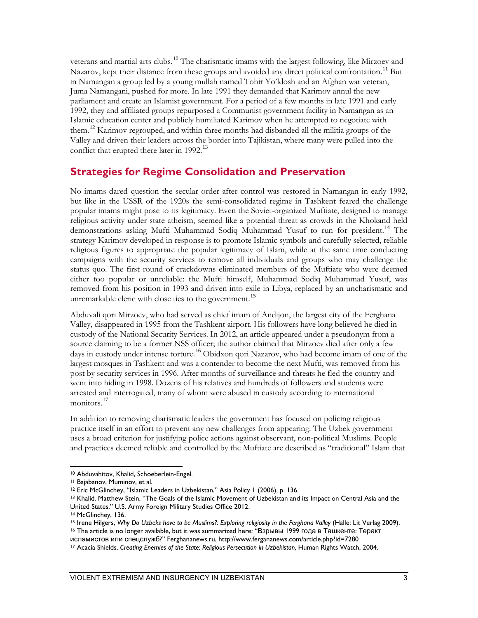veterans and martial arts clubs.<sup>[10](#page-11-0)</sup> The charismatic imams with the largest following, like Mirzoev and Nazarov, kept their distance from these groups and avoided any direct political confrontation.<sup>[11](#page-11-1)</sup> But in Namangan a group led by a young mullah named Tohir Yo'ldosh and an Afghan war veteran, Juma Namangani, pushed for more. In late 1991 they demanded that Karimov annul the new parliament and create an Islamist government. For a period of a few months in late 1991 and early 1992, they and affiliated groups repurposed a Communist government facility in Namangan as an Islamic education center and publicly humiliated Karimov when he attempted to negotiate with them.<sup>[12](#page-11-2)</sup> Karimov regrouped, and within three months had disbanded all the militia groups of the Valley and driven their leaders across the border into Tajikistan, where many were pulled into the conflict that erupted there later in 1992.<sup>[13](#page-11-3)</sup>

#### **Strategies for Regime Consolidation and Preservation**

No imams dared question the secular order after control was restored in Namangan in early 1992, but like in the USSR of the 1920s the semi-consolidated regime in Tashkent feared the challenge popular imams might pose to its legitimacy. Even the Soviet-organized Muftiate, designed to manage religious activity under state atheism, seemed like a potential threat as crowds in the Khokand held demonstrations asking Mufti Muhammad Sodiq Muhammad Yusuf to run for president.<sup>[14](#page-11-4)</sup> The strategy Karimov developed in response is to promote Islamic symbols and carefully selected, reliable religious figures to appropriate the popular legitimacy of Islam, while at the same time conducting campaigns with the security services to remove all individuals and groups who may challenge the status quo. The first round of crackdowns eliminated members of the Muftiate who were deemed either too popular or unreliable: the Mufti himself, Muhammad Sodiq Muhammad Yusuf, was removed from his position in 1993 and driven into exile in Libya, replaced by an uncharismatic and unremarkable cleric with close ties to the government.<sup>[15](#page-11-5)</sup>

Abduvali qori Mirzoev, who had served as chief imam of Andijon, the largest city of the Ferghana Valley, disappeared in 1995 from the Tashkent airport. His followers have long believed he died in custody of the National Security Services. In 2012, an article appeared under a pseudonym from a source claiming to be a former NSS officer; the author claimed that Mirzoev died after only a few days in custody under intense torture.<sup>[16](#page-11-6)</sup> Obidxon qori Nazarov, who had become imam of one of the largest mosques in Tashkent and was a contender to become the next Mufti, was removed from his post by security services in 1996. After months of surveillance and threats he fled the country and went into hiding in 1998. Dozens of his relatives and hundreds of followers and students were arrested and interrogated, many of whom were abused in custody according to international monitors.<sup>[17](#page-11-7)</sup>

In addition to removing charismatic leaders the government has focused on policing religious practice itself in an effort to prevent any new challenges from appearing. The Uzbek government uses a broad criterion for justifying police actions against observant, non-political Muslims. People and practices deemed reliable and controlled by the Muftiate are described as "traditional" Islam that

<span id="page-11-1"></span><span id="page-11-0"></span><sup>10</sup> Abduvahitov, Khalid, Schoeberlein-Engel.<br><sup>11</sup> Bajabanov, Muminov, et al.<br><sup>12</sup> Eric McGlinchey, "Islamic Leaders in Uzbekistan," Asia Policy 1 (2006), p. 136.<br><sup>13</sup> Khalid. Matthew Stein, "The Goals of the Islamic Movem United States," U.S. Army Foreign Military Studies Office 2012.

 $\overline{a}$ 

<span id="page-11-3"></span><span id="page-11-2"></span>

<span id="page-11-5"></span><span id="page-11-4"></span><sup>&</sup>lt;sup>14</sup> McGlinchey, 136.<br><sup>15</sup> Irene Hilgers, *Why Do Uzbeks have to be Muslims?: Exploring religiosity in the Ferghana Valley (Halle: Lit Verlag 2009).* <sup>16</sup> The article is no longer available, but it was summarized here: "Взрывы 1999 года в Ташкенте: Теракт

<span id="page-11-6"></span>исламистов или спецслужб?" Ferghananews.ru, http://www.fergananews.com/article.php?id=7280

<span id="page-11-7"></span><sup>&</sup>lt;sup>17</sup> Acacia Shields, *Creating Enemies of the State: Religious Persecution in Uzbekistan, Human Rights Watch, 2004.*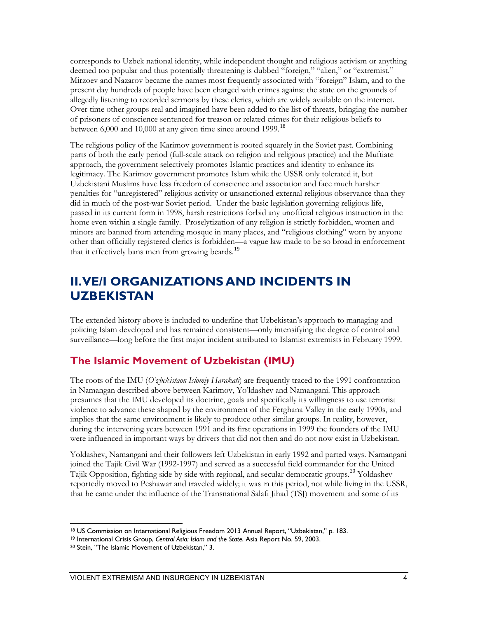corresponds to Uzbek national identity, while independent thought and religious activism or anything deemed too popular and thus potentially threatening is dubbed "foreign," "alien," or "extremist." Mirzoev and Nazarov became the names most frequently associated with "foreign" Islam, and to the present day hundreds of people have been charged with crimes against the state on the grounds of allegedly listening to recorded sermons by these clerics, which are widely available on the internet. Over time other groups real and imagined have been added to the list of threats, bringing the number of prisoners of conscience sentenced for treason or related crimes for their religious beliefs to between 6,000 and 10,000 at any given time since around 1999.<sup>[18](#page-12-0)</sup>

The religious policy of the Karimov government is rooted squarely in the Soviet past. Combining parts of both the early period (full-scale attack on religion and religious practice) and the Muftiate approach, the government selectively promotes Islamic practices and identity to enhance its legitimacy. The Karimov government promotes Islam while the USSR only tolerated it, but Uzbekistani Muslims have less freedom of conscience and association and face much harsher penalties for "unregistered" religious activity or unsanctioned external religious observance than they did in much of the post-war Soviet period. Under the basic legislation governing religious life, passed in its current form in 1998, harsh restrictions forbid any unofficial religious instruction in the home even within a single family. Proselytization of any religion is strictly forbidden, women and minors are banned from attending mosque in many places, and "religious clothing" worn by anyone other than officially registered clerics is forbidden—a vague law made to be so broad in enforcement that it effectively bans men from growing beards.<sup>[19](#page-12-1)</sup>

## **II. VE/I ORGANIZATIONS AND INCIDENTS IN UZBEKISTAN**

The extended history above is included to underline that Uzbekistan's approach to managing and policing Islam developed and has remained consistent—only intensifying the degree of control and surveillance—long before the first major incident attributed to Islamist extremists in February 1999.

## **The Islamic Movement of Uzbekistan (IMU)**

The roots of the IMU (*O'zbekistaon Islomiy Harakati*) are frequently traced to the 1991 confrontation in Namangan described above between Karimov, Yo'ldashev and Namangani. This approach presumes that the IMU developed its doctrine, goals and specifically its willingness to use terrorist violence to advance these shaped by the environment of the Ferghana Valley in the early 1990s, and implies that the same environment is likely to produce other similar groups. In reality, however, during the intervening years between 1991 and its first operations in 1999 the founders of the IMU were influenced in important ways by drivers that did not then and do not now exist in Uzbekistan.

Yoldashev, Namangani and their followers left Uzbekistan in early 1992 and parted ways. Namangani joined the Tajik Civil War (1992-1997) and served as a successful field commander for the United Tajik Opposition, fighting side by side with regional, and secular democratic groups.<sup>[20](#page-12-2)</sup> Yoldashev reportedly moved to Peshawar and traveled widely; it was in this period, not while living in the USSR, that he came under the influence of the Transnational Salafi Jihad (TSJ) movement and some of its

<span id="page-12-0"></span> $\overline{a}$ <sup>18</sup> US Commission on International Religious Freedom 2013 Annual Report, "Uzbekistan," p. 183.<br><sup>19</sup> International Crisis Group, *Central Asia: Islam and the State*, Asia Report No. 59, 2003.<br><sup>20</sup> Stein, "The Islamic Movem

<span id="page-12-1"></span>

<span id="page-12-2"></span>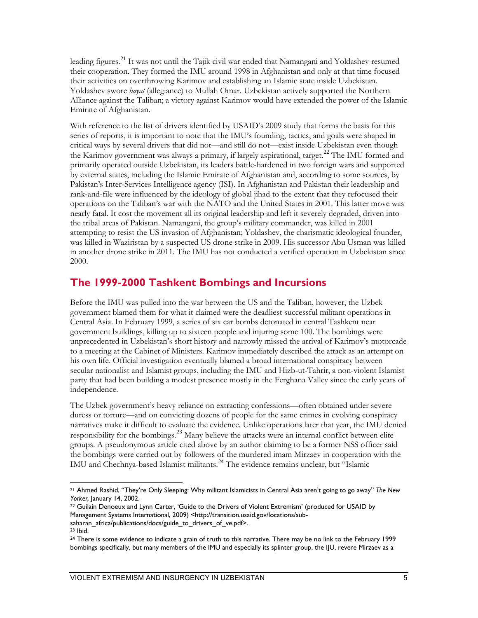leading figures.<sup>[21](#page-13-0)</sup> It was not until the Tajik civil war ended that Namangani and Yoldashev resumed their cooperation. They formed the IMU around 1998 in Afghanistan and only at that time focused their activities on overthrowing Karimov and establishing an Islamic state inside Uzbekistan. Yoldashev swore *bayat* (allegiance) to Mullah Omar. Uzbekistan actively supported the Northern Alliance against the Taliban; a victory against Karimov would have extended the power of the Islamic Emirate of Afghanistan.

With reference to the list of drivers identified by USAID's 2009 study that forms the basis for this series of reports, it is important to note that the IMU's founding, tactics, and goals were shaped in critical ways by several drivers that did not—and still do not—exist inside Uzbekistan even though the Karimov government was always a primary, if largely aspirational, target.<sup>[22](#page-13-1)</sup> The IMU formed and primarily operated outside Uzbekistan, its leaders battle-hardened in two foreign wars and supported by external states, including the Islamic Emirate of Afghanistan and, according to some sources, by Pakistan's Inter-Services Intelligence agency (ISI). In Afghanistan and Pakistan their leadership and rank-and-file were influenced by the ideology of global jihad to the extent that they refocused their operations on the Taliban's war with the NATO and the United States in 2001. This latter move was nearly fatal. It cost the movement all its original leadership and left it severely degraded, driven into the tribal areas of Pakistan. Namangani, the group's military commander, was killed in 2001 attempting to resist the US invasion of Afghanistan; Yoldashev, the charismatic ideological founder, was killed in Waziristan by a suspected US drone strike in 2009. His successor Abu Usman was killed in another drone strike in 2011. The IMU has not conducted a verified operation in Uzbekistan since 2000.

## **The 1999-2000 Tashkent Bombings and Incursions**

Before the IMU was pulled into the war between the US and the Taliban, however, the Uzbek government blamed them for what it claimed were the deadliest successful militant operations in Central Asia. In February 1999, a series of six car bombs detonated in central Tashkent near government buildings, killing up to sixteen people and injuring some 100. The bombings were unprecedented in Uzbekistan's short history and narrowly missed the arrival of Karimov's motorcade to a meeting at the Cabinet of Ministers. Karimov immediately described the attack as an attempt on his own life. Official investigation eventually blamed a broad international conspiracy between secular nationalist and Islamist groups, including the IMU and Hizb-ut-Tahrir, a non-violent Islamist party that had been building a modest presence mostly in the Ferghana Valley since the early years of independence.

The Uzbek government's heavy reliance on extracting confessions—often obtained under severe duress or torture—and on convicting dozens of people for the same crimes in evolving conspiracy narratives make it difficult to evaluate the evidence. Unlike operations later that year, the IMU denied responsibility for the bombings.<sup>[23](#page-13-2)</sup> Many believe the attacks were an internal conflict between elite groups. A pseudonymous article cited above by an author claiming to be a former NSS officer said the bombings were carried out by followers of the murdered imam Mirzaev in cooperation with the IMU and Chechnya-based Islamist militants.<sup>[24](#page-13-3)</sup> The evidence remains unclear, but "Islamic

<span id="page-13-0"></span> $\overline{a}$ <sup>21</sup> Ahmed Rashid, "They're Only Sleeping: Why militant Islamicists in Central Asia aren't going to go away" *The New Yorker, January 14, 2002.*<br><sup>22</sup> Guilain Denoeux and Lynn Carter, 'Guide to the Drivers of Violent Extremism' (produced for USAID by

<span id="page-13-1"></span>Management Systems International, 2009) <http://transition.usaid.gov/locations/subsaharan\_africa/publications/docs/guide\_to\_drivers\_of\_ve.pdf>.

<span id="page-13-2"></span><sup>23</sup> Ibid.

<span id="page-13-3"></span><sup>&</sup>lt;sup>24</sup> There is some evidence to indicate a grain of truth to this narrative. There may be no link to the February 1999 bombings specifically, but many members of the IMU and especially its splinter group, the IJU, revere Mirzaev as a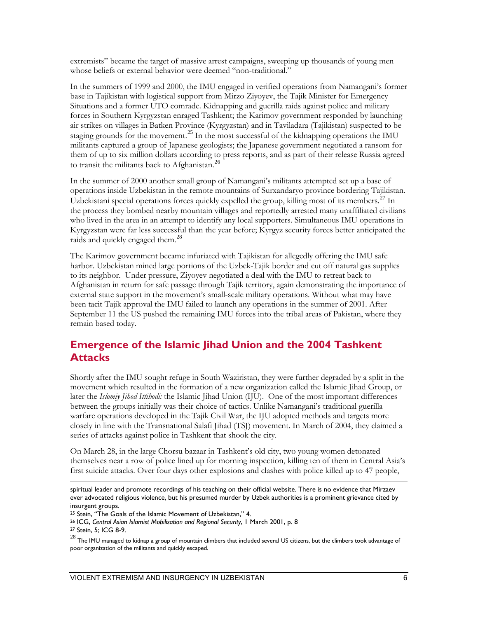extremists" became the target of massive arrest campaigns, sweeping up thousands of young men whose beliefs or external behavior were deemed "non-traditional."

In the summers of 1999 and 2000, the IMU engaged in verified operations from Namangani's former base in Tajikistan with logistical support from Mirzo Ziyoyev, the Tajik Minister for Emergency Situations and a former UTO comrade. Kidnapping and guerilla raids against police and military forces in Southern Kyrgyzstan enraged Tashkent; the Karimov government responded by launching air strikes on villages in Batken Province (Kyrgyzstan) and in Taviladara (Tajikistan) suspected to be staging grounds for the movement.<sup>[25](#page-14-0)</sup> In the most successful of the kidnapping operations the IMU militants captured a group of Japanese geologists; the Japanese government negotiated a ransom for them of up to six million dollars according to press reports, and as part of their release Russia agreed to transit the militants back to Afghanistan. [26](#page-14-1)

In the summer of 2000 another small group of Namangani's militants attempted set up a base of operations inside Uzbekistan in the remote mountains of Surxandaryo province bordering Tajikistan. Uzbekistani special operations forces quickly expelled the group, killing most of its members.<sup>[27](#page-14-2)</sup> In the process they bombed nearby mountain villages and reportedly arrested many unaffiliated civilians who lived in the area in an attempt to identify any local supporters. Simultaneous IMU operations in Kyrgyzstan were far less successful than the year before; Kyrgyz security forces better anticipated the raids and quickly engaged them.<sup>[28](#page-14-3)</sup>

The Karimov government became infuriated with Tajikistan for allegedly offering the IMU safe harbor. Uzbekistan mined large portions of the Uzbek-Tajik border and cut off natural gas supplies to its neighbor. Under pressure, Ziyoyev negotiated a deal with the IMU to retreat back to Afghanistan in return for safe passage through Tajik territory, again demonstrating the importance of external state support in the movement's small-scale military operations. Without what may have been tacit Tajik approval the IMU failed to launch any operations in the summer of 2001. After September 11 the US pushed the remaining IMU forces into the tribal areas of Pakistan, where they remain based today.

## **Emergence of the Islamic Jihad Union and the 2004 Tashkent Attacks**

Shortly after the IMU sought refuge in South Waziristan, they were further degraded by a split in the movement which resulted in the formation of a new organization called the Islamic Jihad Group, or later the *Islomiy Jihod Ittihodi:* the Islamic Jihad Union (IJU). One of the most important differences between the groups initially was their choice of tactics. Unlike Namangani's traditional guerilla warfare operations developed in the Tajik Civil War, the IJU adopted methods and targets more closely in line with the Transnational Salafi Jihad (TSJ) movement. In March of 2004, they claimed a series of attacks against police in Tashkent that shook the city.

On March 28, in the large Chorsu bazaar in Tashkent's old city, two young women detonated themselves near a row of police lined up for morning inspection, killing ten of them in Central Asia's first suicide attacks. Over four days other explosions and clashes with police killed up to 47 people,

 $\overline{a}$ spiritual leader and promote recordings of his teaching on their official website. There is no evidence that Mirzaev ever advocated religious violence, but his presumed murder by Uzbek authorities is a prominent grievance cited by insurgent groups.<br><sup>25</sup> Stein, "The Goals of the Islamic Movement of Uzbekistan," 4.

<span id="page-14-1"></span><span id="page-14-0"></span><sup>&</sup>lt;sup>26</sup> ICG, Central Asian Islamist Mobilisation and Regional Security, 1 March 2001, p. 8

<span id="page-14-2"></span><sup>27</sup> Stein, 5; ICG 8-9.

<span id="page-14-3"></span> $^{28}$  The IMU managed to kidnap a group of mountain climbers that included several US citizens, but the climbers took advantage of poor organization of the militants and quickly escaped.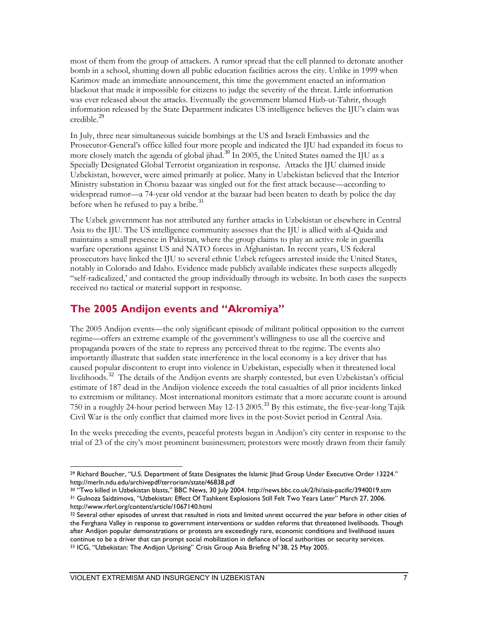most of them from the group of attackers. A rumor spread that the cell planned to detonate another bomb in a school, shutting down all public education facilities across the city. Unlike in 1999 when Karimov made an immediate announcement, this time the government enacted an information blackout that made it impossible for citizens to judge the severity of the threat. Little information was ever released about the attacks. Eventually the government blamed Hizb-ut-Tahrir, though information released by the State Department indicates US intelligence believes the IJU's claim was credible.<sup>[29](#page-15-0)</sup>

In July, three near simultaneous suicide bombings at the US and Israeli Embassies and the Prosecutor-General's office killed four more people and indicated the IJU had expanded its focus to more closely match the agenda of global jihad.<sup>[30](#page-15-1)</sup> In 2005, the United States named the IJU as a Specially Designated Global Terrorist organization in response. Attacks the IJU claimed inside Uzbekistan, however, were aimed primarily at police. Many in Uzbekistan believed that the Interior Ministry substation in Chorsu bazaar was singled out for the first attack because—according to widespread rumor—a 74-year old vendor at the bazaar had been beaten to death by police the day before when he refused to pay a bribe. $31$ 

The Uzbek government has not attributed any further attacks in Uzbekistan or elsewhere in Central Asia to the IJU. The US intelligence community assesses that the IJU is allied with al-Qaida and maintains a small presence in Pakistan, where the group claims to play an active role in guerilla warfare operations against US and NATO forces in Afghanistan. In recent years, US federal prosecutors have linked the IJU to several ethnic Uzbek refugees arrested inside the United States, notably in Colorado and Idaho. Evidence made publicly available indicates these suspects allegedly "self-radicalized,' and contacted the group individually through its website. In both cases the suspects received no tactical or material support in response.

## **The 2005 Andijon events and "Akromiya"**

The 2005 Andijon events—the only significant episode of militant political opposition to the current regime—offers an extreme example of the government's willingness to use all the coercive and propaganda powers of the state to repress any perceived threat to the regime. The events also importantly illustrate that sudden state interference in the local economy is a key driver that has caused popular discontent to erupt into violence in Uzbekistan, especially when it threatened local livelihoods.[32](#page-15-3) The details of the Andijon events are sharply contested, but even Uzbekistan's official estimate of 187 dead in the Andijon violence exceeds the total casualties of all prior incidents linked to extremism or militancy. Most international monitors estimate that a more accurate count is around 750 in a roughly 24-hour period between May 12-13 2005.<sup>[33](#page-15-4)</sup> By this estimate, the five-year-long Tajik Civil War is the only conflict that claimed more lives in the post-Soviet period in Central Asia.

In the weeks preceding the events, peaceful protests began in Andijon's city center in response to the trial of 23 of the city's most prominent businessmen; protestors were mostly drawn from their family

<span id="page-15-0"></span> $\overline{a}$ <sup>29</sup> Richard Boucher, "U.S. Department of State Designates the Islamic Jihad Group Under Executive Order 13224." http://merln.ndu.edu/archivepdf/terrorism/state/46838.pdf

<span id="page-15-2"></span><span id="page-15-1"></span><sup>30</sup> "Two killed in Uzbekistan blasts," BBC News, 30 July 2004. http://news.bbc.co.uk/2/hi/asia-pacific/3940019.stm <sup>31</sup> Gulnoza Saidzimova, "Uzbekistan: Effect Of Tashkent Explosions Still Felt Two Years Later" March 27, 2006. http://www.rferl.org/content/article/1067140.html

<span id="page-15-4"></span><span id="page-15-3"></span><sup>32</sup> Several other episodes of unrest that resulted in riots and limited unrest occurred the year before in other cities of the Ferghana Valley in response to government interventions or sudden reforms that threatened livelihoods. Though after Andijon popular demonstrations or protests are exceedingly rare, economic conditions and livelihood issues continue to be a driver that can prompt social mobilization in defiance of local authorities or security services.<br><sup>33</sup> ICG, "Uzbekistan: The Andijon Uprising" Crisis Group Asia Briefing N°38, 25 May 2005.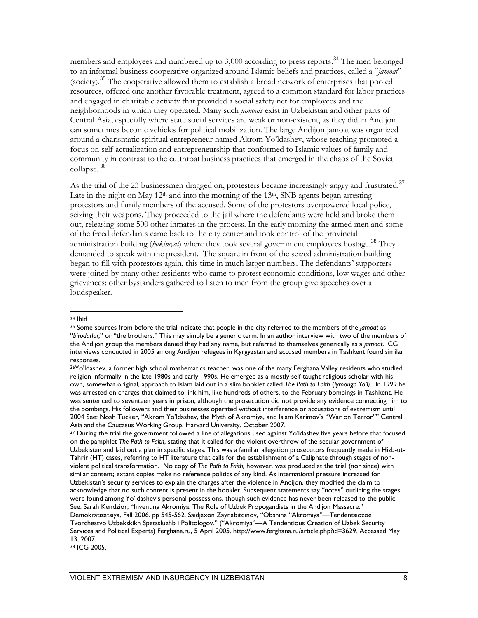members and employees and numbered up to 3,000 according to press reports.<sup>[34](#page-16-0)</sup> The men belonged to an informal business cooperative organized around Islamic beliefs and practices, called a "*jamoat*" (society).[35](#page-16-1) The cooperative allowed them to establish a broad network of enterprises that pooled resources, offered one another favorable treatment, agreed to a common standard for labor practices and engaged in charitable activity that provided a social safety net for employees and the neighborhoods in which they operated. Many such *jamoats* exist in Uzbekistan and other parts of Central Asia, especially where state social services are weak or non-existent, as they did in Andijon can sometimes become vehicles for political mobilization. The large Andijon jamoat was organized around a charismatic spiritual entrepreneur named Akrom Yo'ldashev, whose teaching promoted a focus on self-actualization and entrepreneurship that conformed to Islamic values of family and community in contrast to the cutthroat business practices that emerged in the chaos of the Soviet collapse. [36](#page-16-2)

As the trial of the 23 businessmen dragged on, protesters became increasingly angry and frustrated.<sup>[37](#page-16-3)</sup> Late in the night on May  $12<sup>th</sup>$  and into the morning of the  $13<sup>th</sup>$ , SNB agents began arresting protestors and family members of the accused. Some of the protestors overpowered local police, seizing their weapons. They proceeded to the jail where the defendants were held and broke them out, releasing some 500 other inmates in the process. In the early morning the armed men and some of the freed defendants came back to the city center and took control of the provincial administration building (*hokimyat*) where they took several government employees hostage.<sup>[38](#page-16-4)</sup> They demanded to speak with the president. The square in front of the seized administration building began to fill with protestors again, this time in much larger numbers. The defendants' supporters were joined by many other residents who came to protest economic conditions, low wages and other grievances; other bystanders gathered to listen to men from the group give speeches over a loudspeaker.

#### <span id="page-16-0"></span><sup>34</sup> Ibid.

 $\overline{a}$ 

<span id="page-16-1"></span><sup>35</sup> Some sources from before the trial indicate that people in the city referred to the members of the *jamoat* as "*birodarlar,*" or "the brothers." This may simply be a generic term. In an author interview with two of the members of the Andijon group the members denied they had any name, but referred to themselves generically as a *jamoat*. ICG interviews conducted in 2005 among Andijon refugees in Kyrgyzstan and accused members in Tashkent found similar responses.

<span id="page-16-2"></span><sup>36</sup>Yo'ldashev, a former high school mathematics teacher, was one of the many Ferghana Valley residents who studied religion informally in the late 1980s and early 1990s. He emerged as a mostly self-taught religious scholar with his own, somewhat original, approach to Islam laid out in a slim booklet called *The Path to Faith* (*Iymonga Yo'l)*. In 1999 he was arrested on charges that claimed to link him, like hundreds of others, to the February bombings in Tashkent. He was sentenced to seventeen years in prison, although the prosecution did not provide any evidence connecting him to the bombings. His followers and their businesses operated without interference or accusations of extremism until 2004 See: Noah Tucker, "Akrom Yo'ldashev, the Myth of Akromiya, and Islam Karimov's "War on Terror"" Central Asia and the Caucasus Working Group, Harvard University. October 2007.

<span id="page-16-3"></span><sup>37</sup> During the trial the government followed a line of allegations used against Yo'ldashev five years before that focused on the pamphlet *The Path to Faith*, stating that it called for the violent overthrow of the secular government of Uzbekistan and laid out a plan in specific stages. This was a familiar allegation prosecutors frequently made in Hizb-ut-Tahrir (HT) cases, referring to HT literature that calls for the establishment of a Caliphate through stages of nonviolent political transformation. No copy of *The Path to Faith,* however, was produced at the trial (nor since) with similar content; extant copies make no reference politics of any kind. As international pressure increased for Uzbekistan's security services to explain the charges after the violence in Andijon, they modified the claim to acknowledge that no such content is present in the booklet. Subsequent statements say "notes" outlining the stages were found among Yo'ldashev's personal possessions, though such evidence has never been released to the public. See: Sarah Kendzior, "Inventing Akromiya: The Role of Uzbek Propogandists in the Andijon Massacre." Demokratizatsiya, Fall 2006. pp 545-562. Saidjaxon Zaynabitdinov, "Obshina "Akromiya"—Tendentsiozoe Tvorchestvo Uzbekskikh Spetssluzhb i Politologov." ("Akromiya"—A Tendentious Creation of Uzbek Security Services and Political Experts) Ferghana.ru, 5 April 2005. http://www.ferghana.ru/article.php?id=3629. Accessed May 13, 2007.

<span id="page-16-4"></span><sup>38</sup> ICG 2005.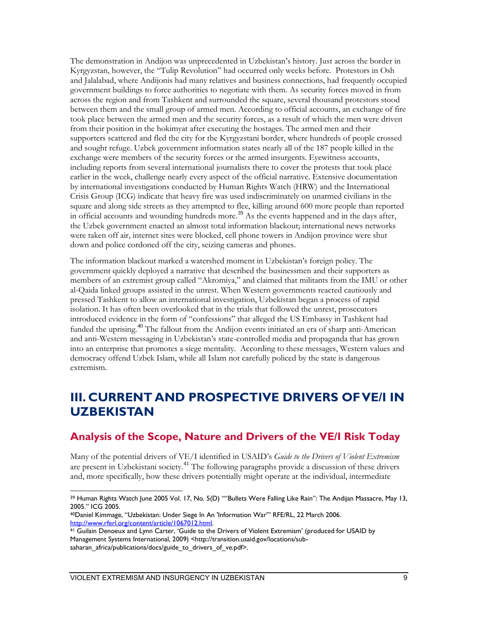The demonstration in Andijon was unprecedented in Uzbekistan's history. Just across the border in Kyrgyzstan, however, the "Tulip Revolution" had occurred only weeks before. Protestors in Osh and Jalalabad, where Andijonis had many relatives and business connections, had frequently occupied government buildings to force authorities to negotiate with them. As security forces moved in from across the region and from Tashkent and surrounded the square, several thousand protestors stood between them and the small group of armed men. According to official accounts, an exchange of fire took place between the armed men and the security forces, as a result of which the men were driven from their position in the hokimyat after executing the hostages. The armed men and their supporters scattered and fled the city for the Kyrgyzstani border, where hundreds of people crossed and sought refuge. Uzbek government information states nearly all of the 187 people killed in the exchange were members of the security forces or the armed insurgents. Eyewitness accounts, including reports from several international journalists there to cover the protests that took place earlier in the week, challenge nearly every aspect of the official narrative. Extensive documentation by international investigations conducted by Human Rights Watch (HRW) and the International Crisis Group (ICG) indicate that heavy fire was used indiscriminately on unarmed civilians in the square and along side streets as they attempted to flee, killing around 600 more people than reported in official accounts and wounding hundreds more.<sup>[39](#page-17-0)</sup> As the events happened and in the days after, the Uzbek government enacted an almost total information blackout; international news networks were taken off air, internet sites were blocked, cell phone towers in Andijon province were shut down and police cordoned off the city, seizing cameras and phones.

The information blackout marked a watershed moment in Uzbekistan's foreign policy. The government quickly deployed a narrative that described the businessmen and their supporters as members of an extremist group called "Akromiya," and claimed that militants from the IMU or other al-Qaida linked groups assisted in the unrest. When Western governments reacted cautiously and pressed Tashkent to allow an international investigation, Uzbekistan began a process of rapid isolation. It has often been overlooked that in the trials that followed the unrest, prosecutors introduced evidence in the form of "confessions" that alleged the US Embassy in Tashkent had funded the uprising.<sup>[40](#page-17-1)</sup> The fallout from the Andijon events initiated an era of sharp anti-American and anti-Western messaging in Uzbekistan's state-controlled media and propaganda that has grown into an enterprise that promotes a siege mentality. According to these messages, Western values and democracy offend Uzbek Islam, while all Islam not carefully policed by the state is dangerous extremism.

## **III. CURRENT AND PROSPECTIVE DRIVERS OF VE/I IN UZBEKISTAN**

#### **Analysis of the Scope, Nature and Drivers of the VE/I Risk Today**

Many of the potential drivers of VE/I identified in USAID's *Guide to the Drivers of Violent Extremism* are present in Uzbekistani society.<sup>[41](#page-17-2)</sup> The following paragraphs provide a discussion of these drivers and, more specifically, how these drivers potentially might operate at the individual, intermediate

<span id="page-17-0"></span> $\overline{a}$ <sup>39</sup> Human Rights Watch June 2005 Vol. 17, No. 5(D) ""Bullets Were Falling Like Rain": The Andijan Massacre, May 13, 2005." ICG 2005.

<span id="page-17-1"></span><sup>40</sup>Daniel Kimmage, "Uzbekistan: Under Siege In An 'Information War'" RFE/RL, 22 March 2006. http://www.rferl.org/content/article/1067012.html.<br><sup>41</sup> Guilain Denoeux and Lynn Carter, 'Guide to the Drivers of Violent Extremism' (produced for USAID by

<span id="page-17-2"></span>Management Systems International, 2009) <http://transition.usaid.gov/locations/subsaharan\_africa/publications/docs/guide\_to\_drivers\_of\_ve.pdf>.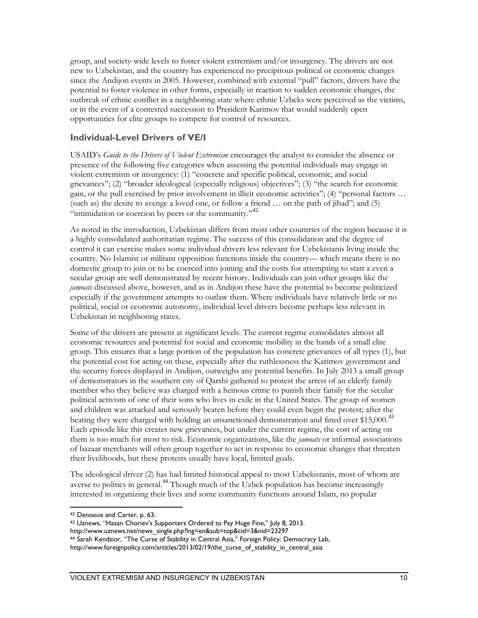group, and society-wide levels to foster violent extremism and/or insurgency. The drivers are not new to Uzbekistan, and the country has experienced no precipitous political or economic changes since the Andijon events in 2005. However, combined with external "pull" factors, drivers have the potential to foster violence in other forms, especially in reaction to sudden economic changes, the outbreak of ethnic conflict in a neighboring state where ethnic Uzbeks were perceived as the victims, or in the event of a contested succession to President Karimov that would suddenly open opportunities for elite groups to compete for control of resources.

#### **Individual-Level Drivers of VE/I**

USAID's *Guide to the Drivers of Violent Extremism* encourages the analyst to consider the absence or presence of the following five categories when assessing the potential individuals may engage in violent extremism or insurgency: (1) "concrete and specific political, economic, and social grievances"; (2) "broader ideological (especially religious) objectives"; (3) "the search for economic gain, or the pull exercised by prior involvement in illicit economic activities"; (4) "personal factors … (such as) the desire to avenge a loved one, or follow a friend … on the path of jihad"; and (5) "intimidation or coercion by peers or the community."  $42$ 

As noted in the introduction, Uzbekistan differs from most other countries of the region because it is a highly consolidated authoritarian regime. The success of this consolidation and the degree of control it can exercise makes some individual drivers less relevant for Uzbekistanis living inside the country. No Islamist or militant opposition functions inside the country— which means there is no domestic group to join or to be coerced into joining and the costs for attempting to start a even a secular group are well demonstrated by recent history. Individuals can join other groups like the *jamoats* discussed above, however, and as in Andijon these have the potential to become politicized especially if the government attempts to outlaw them. Where individuals have relatively little or no political, social or economic autonomy, individual level drivers become perhaps less relevant in Uzbekistan in neighboring states.

Some of the drivers are present at significant levels. The current regime consolidates almost all economic resources and potential for social and economic mobility in the hands of a small elite group. This ensures that a large portion of the population has concrete grievances of all types (1), but the potential cost for acting on these, especially after the ruthlessness the Karimov government and the security forces displayed in Andijon, outweighs any potential benefits. In July 2013 a small group of demonstrators in the southern city of Qarshi gathered to protest the arrest of an elderly family member who they believe was charged with a heinous crime to punish their family for the secular political activism of one of their sons who lives in exile in the United States. The group of women and children was attacked and seriously beaten before they could even begin the protest; after the beating they were charged with holding an unsanctioned demonstration and fined over \$15,000.<sup>[43](#page-18-1)</sup> Each episode like this creates new grievances, but under the current regime, the cost of acting on them is too much for most to risk. Economic organizations, like the *jamoats* or informal associations of bazaar merchants will often group together to act in response to economic changes that threaten their livelihoods, but these protests usually have local, limited goals.

The ideological driver (2) has had limited historical appeal to most Uzbekistanis, most of whom are averse to politics in general.<sup>[44](#page-18-2)</sup> Though much of the Uzbek population has become increasingly interested in organizing their lives and some community functions around Islam, no popular

 $\overline{a}$ <sup>42</sup> Denoeux and Carter, p. 63.

<span id="page-18-1"></span><span id="page-18-0"></span><sup>43</sup> Uznews, "Hasan Choriev's Supporters Ordered to Pay Huge Fine," July 8, 2013.

http://www.uznews.net/news\_single.php?lng=en&sub=top&cid=3&nid=23297

<sup>44</sup> Sarah Kendzior, "The Curse of Stability in Central Asia," Foreign Policy: Democracy Lab,

<span id="page-18-2"></span>http://www.foreignpolicy.com/articles/2013/02/19/the\_curse\_of\_stability\_in\_central\_asia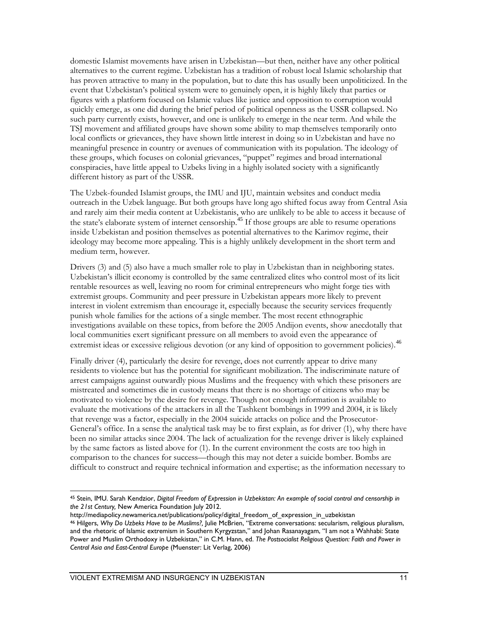domestic Islamist movements have arisen in Uzbekistan—but then, neither have any other political alternatives to the current regime. Uzbekistan has a tradition of robust local Islamic scholarship that has proven attractive to many in the population, but to date this has usually been unpoliticized. In the event that Uzbekistan's political system were to genuinely open, it is highly likely that parties or figures with a platform focused on Islamic values like justice and opposition to corruption would quickly emerge, as one did during the brief period of political openness as the USSR collapsed. No such party currently exists, however, and one is unlikely to emerge in the near term. And while the TSJ movement and affiliated groups have shown some ability to map themselves temporarily onto local conflicts or grievances, they have shown little interest in doing so in Uzbekistan and have no meaningful presence in country or avenues of communication with its population. The ideology of these groups, which focuses on colonial grievances, "puppet" regimes and broad international conspiracies, have little appeal to Uzbeks living in a highly isolated society with a significantly different history as part of the USSR.

The Uzbek-founded Islamist groups, the IMU and IJU, maintain websites and conduct media outreach in the Uzbek language. But both groups have long ago shifted focus away from Central Asia and rarely aim their media content at Uzbekistanis, who are unlikely to be able to access it because of the state's elaborate system of internet censorship.<sup>[45](#page-19-0)</sup> If those groups are able to resume operations inside Uzbekistan and position themselves as potential alternatives to the Karimov regime, their ideology may become more appealing. This is a highly unlikely development in the short term and medium term, however.

Drivers (3) and (5) also have a much smaller role to play in Uzbekistan than in neighboring states. Uzbekistan's illicit economy is controlled by the same centralized elites who control most of its licit rentable resources as well, leaving no room for criminal entrepreneurs who might forge ties with extremist groups. Community and peer pressure in Uzbekistan appears more likely to prevent interest in violent extremism than encourage it, especially because the security services frequently punish whole families for the actions of a single member. The most recent ethnographic investigations available on these topics, from before the 2005 Andijon events, show anecdotally that local communities exert significant pressure on all members to avoid even the appearance of extremist ideas or excessive religious devotion (or any kind of opposition to government policies).<sup>[46](#page-19-1)</sup>

Finally driver (4), particularly the desire for revenge, does not currently appear to drive many residents to violence but has the potential for significant mobilization. The indiscriminate nature of arrest campaigns against outwardly pious Muslims and the frequency with which these prisoners are mistreated and sometimes die in custody means that there is no shortage of citizens who may be motivated to violence by the desire for revenge. Though not enough information is available to evaluate the motivations of the attackers in all the Tashkent bombings in 1999 and 2004, it is likely that revenge was a factor, especially in the 2004 suicide attacks on police and the Prosecutor-General's office. In a sense the analytical task may be to first explain, as for driver (1), why there have been no similar attacks since 2004. The lack of actualization for the revenge driver is likely explained by the same factors as listed above for (1). In the current environment the costs are too high in comparison to the chances for success—though this may not deter a suicide bomber. Bombs are difficult to construct and require technical information and expertise; as the information necessary to

<span id="page-19-0"></span> $\overline{a}$ <sup>45</sup> Stein, IMU. Sarah Kendzior, *Digital Freedom of Expression in Uzbekistan: An example of social control and censorship in the 21st Century,* New America Foundation July 2012.

http://mediapolicy.newamerica.net/publications/policy/digital\_freedom\_of\_expression\_in\_uzbekistan

<span id="page-19-1"></span><sup>46</sup> Hilgers, *Why Do Uzbeks Have to be Muslims?,* Julie McBrien, "Extreme conversations: secularism, religious pluralism, and the rhetoric of Islamic extremism in Southern Kyrgyzstan," and Johan Rasanayagam, "I am not a Wahhabi: State Power and Muslim Orthodoxy in Uzbekistan," in C.M. Hann, ed. *The Postsocialist Religious Question: Faith and Power in Central Asia and East-Central Europe* (Muenster: Lit Verlag, 2006)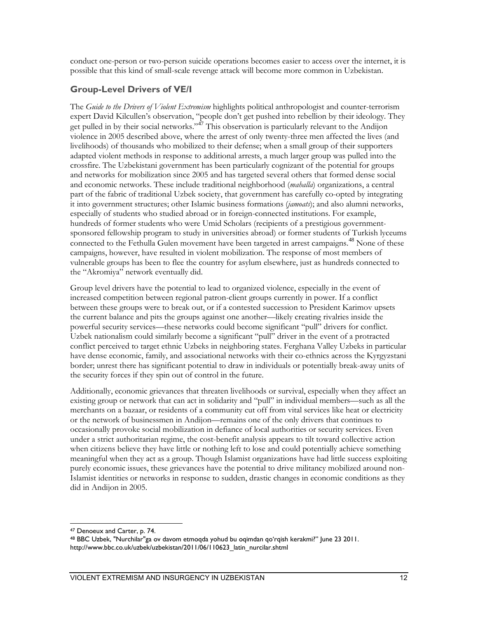conduct one-person or two-person suicide operations becomes easier to access over the internet, it is possible that this kind of small-scale revenge attack will become more common in Uzbekistan.

#### **Group-Level Drivers of VE/I**

The *Guide to the Drivers of Violent Extremism* highlights political anthropologist and counter-terrorism expert David Kilcullen's observation, "people don't get pushed into rebellion by their ideology. They get pulled in by their social networks."<sup>[47](#page-20-0)</sup> This observation is particularly relevant to the Andijon violence in 2005 described above, where the arrest of only twenty-three men affected the lives (and livelihoods) of thousands who mobilized to their defense; when a small group of their supporters adapted violent methods in response to additional arrests, a much larger group was pulled into the crossfire. The Uzbekistani government has been particularly cognizant of the potential for groups and networks for mobilization since 2005 and has targeted several others that formed dense social and economic networks. These include traditional neighborhood (*mahalla*) organizations, a central part of the fabric of traditional Uzbek society, that government has carefully co-opted by integrating it into government structures; other Islamic business formations (*jamoats*); and also alumni networks, especially of students who studied abroad or in foreign-connected institutions. For example, hundreds of former students who were Umid Scholars (recipients of a prestigious governmentsponsored fellowship program to study in universities abroad) or former students of Turkish lyceums connected to the Fethulla Gulen movement have been targeted in arrest campaigns.<sup>[48](#page-20-1)</sup> None of these campaigns, however, have resulted in violent mobilization. The response of most members of vulnerable groups has been to flee the country for asylum elsewhere, just as hundreds connected to the "Akromiya" network eventually did.

Group level drivers have the potential to lead to organized violence, especially in the event of increased competition between regional patron-client groups currently in power. If a conflict between these groups were to break out, or if a contested succession to President Karimov upsets the current balance and pits the groups against one another—likely creating rivalries inside the powerful security services—these networks could become significant "pull" drivers for conflict. Uzbek nationalism could similarly become a significant "pull" driver in the event of a protracted conflict perceived to target ethnic Uzbeks in neighboring states. Ferghana Valley Uzbeks in particular have dense economic, family, and associational networks with their co-ethnics across the Kyrgyzstani border; unrest there has significant potential to draw in individuals or potentially break-away units of the security forces if they spin out of control in the future.

Additionally, economic grievances that threaten livelihoods or survival, especially when they affect an existing group or network that can act in solidarity and "pull" in individual members—such as all the merchants on a bazaar, or residents of a community cut off from vital services like heat or electricity or the network of businessmen in Andijon—remains one of the only drivers that continues to occasionally provoke social mobilization in defiance of local authorities or security services. Even under a strict authoritarian regime, the cost-benefit analysis appears to tilt toward collective action when citizens believe they have little or nothing left to lose and could potentially achieve something meaningful when they act as a group. Though Islamist organizations have had little success exploiting purely economic issues, these grievances have the potential to drive militancy mobilized around non-Islamist identities or networks in response to sudden, drastic changes in economic conditions as they did in Andijon in 2005.

 $\overline{a}$ <sup>47</sup> Denoeux and Carter, p. 74.

<span id="page-20-1"></span><span id="page-20-0"></span><sup>48</sup> BBC Uzbek, "Nurchilar"ga ov davom etmoqda yohud bu oqimdan qo'rqish kerakmi?" June 23 2011. http://www.bbc.co.uk/uzbek/uzbekistan/2011/06/110623\_latin\_nurcilar.shtml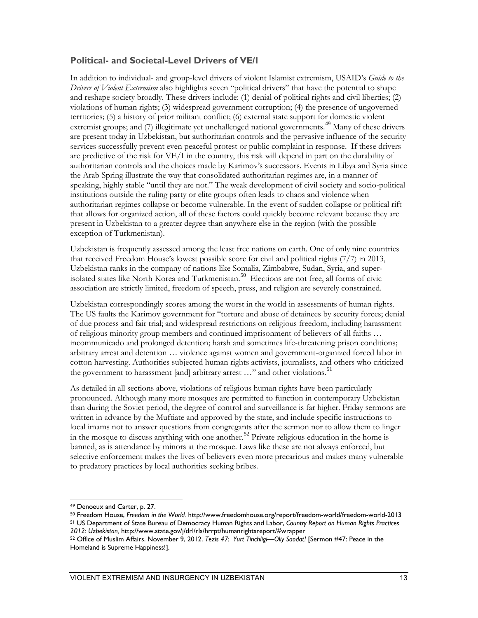#### **Political- and Societal-Level Drivers of VE/I**

In addition to individual- and group-level drivers of violent Islamist extremism, USAID's *Guide to the Drivers of Violent Extremism* also highlights seven "political drivers" that have the potential to shape and reshape society broadly. These drivers include: (1) denial of political rights and civil liberties; (2) violations of human rights; (3) widespread government corruption; (4) the presence of ungoverned territories; (5) a history of prior militant conflict; (6) external state support for domestic violent extremist groups; and (7) illegitimate yet unchallenged national governments.<sup>[49](#page-21-0)</sup> Many of these drivers are present today in Uzbekistan, but authoritarian controls and the pervasive influence of the security services successfully prevent even peaceful protest or public complaint in response. If these drivers are predictive of the risk for VE/I in the country, this risk will depend in part on the durability of authoritarian controls and the choices made by Karimov's successors. Events in Libya and Syria since the Arab Spring illustrate the way that consolidated authoritarian regimes are, in a manner of speaking, highly stable "until they are not." The weak development of civil society and socio-political institutions outside the ruling party or elite groups often leads to chaos and violence when authoritarian regimes collapse or become vulnerable. In the event of sudden collapse or political rift that allows for organized action, all of these factors could quickly become relevant because they are present in Uzbekistan to a greater degree than anywhere else in the region (with the possible exception of Turkmenistan).

Uzbekistan is frequently assessed among the least free nations on earth. One of only nine countries that received Freedom House's lowest possible score for civil and political rights (7/7) in 2013, Uzbekistan ranks in the company of nations like Somalia, Zimbabwe, Sudan, Syria, and super-isolated states like North Korea and Turkmenistan.<sup>[50](#page-21-1)</sup> Elections are not free, all forms of civic association are strictly limited, freedom of speech, press, and religion are severely constrained.

Uzbekistan correspondingly scores among the worst in the world in assessments of human rights. The US faults the Karimov government for "torture and abuse of detainees by security forces; denial of due process and fair trial; and widespread restrictions on religious freedom, including harassment of religious minority group members and continued imprisonment of believers of all faiths … incommunicado and prolonged detention; harsh and sometimes life-threatening prison conditions; arbitrary arrest and detention … violence against women and government-organized forced labor in cotton harvesting. Authorities subjected human rights activists, journalists, and others who criticized the government to harassment [and] arbitrary arrest  $\ldots$ " and other violations.<sup>[51](#page-21-2)</sup>

As detailed in all sections above, violations of religious human rights have been particularly pronounced. Although many more mosques are permitted to function in contemporary Uzbekistan than during the Soviet period, the degree of control and surveillance is far higher. Friday sermons are written in advance by the Muftiate and approved by the state, and include specific instructions to local imams not to answer questions from congregants after the sermon nor to allow them to linger in the mosque to discuss anything with one another.<sup>[52](#page-21-3)</sup> Private religious education in the home is banned, as is attendance by minors at the mosque. Laws like these are not always enforced, but selective enforcement makes the lives of believers even more precarious and makes many vulnerable to predatory practices by local authorities seeking bribes.

 $\overline{a}$ 

- <span id="page-21-1"></span><span id="page-21-0"></span><sup>50</sup> Freedom House, *Freedom in the World.* http://www.freedomhouse.org/report/freedom-world/freedom-world-2013
- <span id="page-21-2"></span><sup>51</sup> US Department of State Bureau of Democracy Human Rights and Labor, *Country Report on Human Rights Practices 2012: Uzbekistan,* http://www.state.gov/j/drl/rls/hrrpt/humanrightsreport/#wrapper

<sup>49</sup> Denoeux and Carter, p. 27.

<span id="page-21-3"></span><sup>52</sup> Office of Muslim Affairs. November 9, 2012. *Tezis 47: Yurt Tinchligi—Oliy Saodat!* [Sermon #47: Peace in the Homeland is Supreme Happiness!].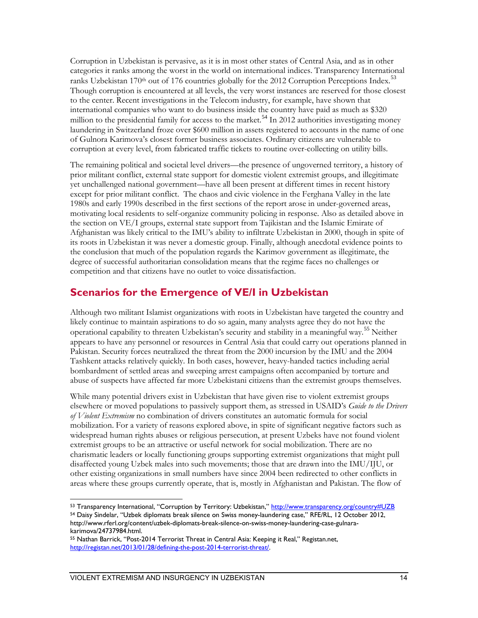Corruption in Uzbekistan is pervasive, as it is in most other states of Central Asia, and as in other categories it ranks among the worst in the world on international indices. Transparency International ranks Uzbekistan 170<sup>th</sup> out of 176 countries globally for the 2012 Corruption Perceptions Index.<sup>[53](#page-22-0)</sup> Though corruption is encountered at all levels, the very worst instances are reserved for those closest to the center. Recent investigations in the Telecom industry, for example, have shown that international companies who want to do business inside the country have paid as much as \$320 million to the presidential family for access to the market.<sup>[54](#page-22-1)</sup> In 2012 authorities investigating money laundering in Switzerland froze over \$600 million in assets registered to accounts in the name of one of Gulnora Karimova's closest former business associates. Ordinary citizens are vulnerable to corruption at every level, from fabricated traffic tickets to routine over-collecting on utility bills.

The remaining political and societal level drivers—the presence of ungoverned territory, a history of prior militant conflict, external state support for domestic violent extremist groups, and illegitimate yet unchallenged national government—have all been present at different times in recent history except for prior militant conflict. The chaos and civic violence in the Ferghana Valley in the late 1980s and early 1990s described in the first sections of the report arose in under-governed areas, motivating local residents to self-organize community policing in response. Also as detailed above in the section on VE/I groups, external state support from Tajikistan and the Islamic Emirate of Afghanistan was likely critical to the IMU's ability to infiltrate Uzbekistan in 2000, though in spite of its roots in Uzbekistan it was never a domestic group. Finally, although anecdotal evidence points to the conclusion that much of the population regards the Karimov government as illegitimate, the degree of successful authoritarian consolidation means that the regime faces no challenges or competition and that citizens have no outlet to voice dissatisfaction.

#### **Scenarios for the Emergence of VE/I in Uzbekistan**

Although two militant Islamist organizations with roots in Uzbekistan have targeted the country and likely continue to maintain aspirations to do so again, many analysts agree they do not have the operational capability to threaten Uzbekistan's security and stability in a meaningful way.[55](#page-22-2) Neither appears to have any personnel or resources in Central Asia that could carry out operations planned in Pakistan. Security forces neutralized the threat from the 2000 incursion by the IMU and the 2004 Tashkent attacks relatively quickly. In both cases, however, heavy-handed tactics including aerial bombardment of settled areas and sweeping arrest campaigns often accompanied by torture and abuse of suspects have affected far more Uzbekistani citizens than the extremist groups themselves.

While many potential drivers exist in Uzbekistan that have given rise to violent extremist groups elsewhere or moved populations to passively support them, as stressed in USAID's *Guide to the Drivers of Violent Extremism* no combination of drivers constitutes an automatic formula for social mobilization. For a variety of reasons explored above, in spite of significant negative factors such as widespread human rights abuses or religious persecution, at present Uzbeks have not found violent extremist groups to be an attractive or useful network for social mobilization. There are no charismatic leaders or locally functioning groups supporting extremist organizations that might pull disaffected young Uzbek males into such movements; those that are drawn into the IMU/IJU, or other existing organizations in small numbers have since 2004 been redirected to other conflicts in areas where these groups currently operate, that is, mostly in Afghanistan and Pakistan. The flow of

 $\overline{a}$ 

<span id="page-22-1"></span><span id="page-22-0"></span><sup>53</sup> Transparency International, "Corruption by Territory: Uzbekistan,"<http://www.transparency.org/country#UZB> <sup>54</sup> Daisy Sindelar, "Uzbek diplomats break silence on Swiss money-laundering case," RFE/RL, 12 October 2012, http://www.rferl.org/content/uzbek-diplomats-break-silence-on-swiss-money-laundering-case-gulnarakarimova/24737984.html.

<span id="page-22-2"></span><sup>55</sup> Nathan Barrick, "Post-2014 Terrorist Threat in Central Asia: Keeping it Real," Registan.net, [http://registan.net/2013/01/28/defining-the-post-2014-terrorist-threat/.](http://registan.net/2013/01/28/defining-the-post-2014-terrorist-threat/)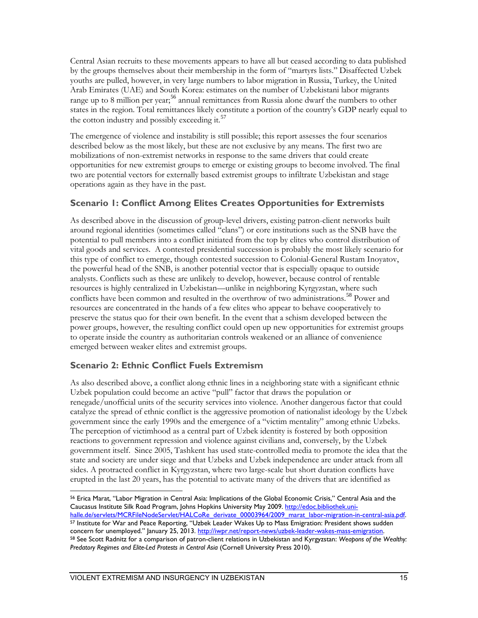Central Asian recruits to these movements appears to have all but ceased according to data published by the groups themselves about their membership in the form of "martyrs lists." Disaffected Uzbek youths are pulled, however, in very large numbers to labor migration in Russia, Turkey, the United Arab Emirates (UAE) and South Korea: estimates on the number of Uzbekistani labor migrants range up to 8 million per year;<sup>[56](#page-23-0)</sup> annual remittances from Russia alone dwarf the numbers to other states in the region. Total remittances likely constitute a portion of the country's GDP nearly equal to the cotton industry and possibly exceeding it.<sup>[57](#page-23-1)</sup>

The emergence of violence and instability is still possible; this report assesses the four scenarios described below as the most likely, but these are not exclusive by any means. The first two are mobilizations of non-extremist networks in response to the same drivers that could create opportunities for new extremist groups to emerge or existing groups to become involved. The final two are potential vectors for externally based extremist groups to infiltrate Uzbekistan and stage operations again as they have in the past.

#### **Scenario 1: Conflict Among Elites Creates Opportunities for Extremists**

As described above in the discussion of group-level drivers, existing patron-client networks built around regional identities (sometimes called "clans") or core institutions such as the SNB have the potential to pull members into a conflict initiated from the top by elites who control distribution of vital goods and services. A contested presidential succession is probably the most likely scenario for this type of conflict to emerge, though contested succession to Colonial-General Rustam Inoyatov, the powerful head of the SNB, is another potential vector that is especially opaque to outside analysts. Conflicts such as these are unlikely to develop, however, because control of rentable resources is highly centralized in Uzbekistan—unlike in neighboring Kyrgyzstan, where such conflicts have been common and resulted in the overthrow of two administrations.<sup>[58](#page-23-2)</sup> Power and resources are concentrated in the hands of a few elites who appear to behave cooperatively to preserve the status quo for their own benefit. In the event that a schism developed between the power groups, however, the resulting conflict could open up new opportunities for extremist groups to operate inside the country as authoritarian controls weakened or an alliance of convenience emerged between weaker elites and extremist groups.

#### **Scenario 2: Ethnic Conflict Fuels Extremism**

As also described above, a conflict along ethnic lines in a neighboring state with a significant ethnic Uzbek population could become an active "pull" factor that draws the population or renegade/unofficial units of the security services into violence. Another dangerous factor that could catalyze the spread of ethnic conflict is the aggressive promotion of nationalist ideology by the Uzbek government since the early 1990s and the emergence of a "victim mentality" among ethnic Uzbeks. The perception of victimhood as a central part of Uzbek identity is fostered by both opposition reactions to government repression and violence against civilians and, conversely, by the Uzbek government itself. Since 2005, Tashkent has used state-controlled media to promote the idea that the state and society are under siege and that Uzbeks and Uzbek independence are under attack from all sides. A protracted conflict in Kyrgyzstan, where two large-scale but short duration conflicts have erupted in the last 20 years, has the potential to activate many of the drivers that are identified as

<span id="page-23-0"></span> $\overline{a}$ <sup>56</sup> Erica Marat, "Labor Migration in Central Asia: Implications of the Global Economic Crisis," Central Asia and the Caucasus Institute Silk Road Program, Johns Hopkins University May 2009. [http://edoc.bibliothek.uni-](http://edoc.bibliothek.uni-halle.de/servlets/MCRFileNodeServlet/HALCoRe_derivate_00003964/2009_marat_labor-migration-in-central-asia.pdf)

<span id="page-23-2"></span><span id="page-23-1"></span>halle.de/servlets/MCRFileNodeServlet/HALCoRe\_derivate\_00003964/2009\_marat\_labor-migration-in-central-asia.pdf.<br><sup>57</sup> Institute for War and Peace Reporting, "Uzbek Leader Wakes Up to Mass Emigration: President shows sudden concern for unemployed." January 25, 2013. <u>http://iwpr.net/report-news/uzbek-leader-wakes-mass-emigration</u>.<br><sup>58</sup> See Scott Radnitz for a comparison of patron-client relations in Uzbekistan and Kyrgyzstan: We*qpons of the* Predatory Regimes and Elite-Led Protests in Central Asia (Cornell University Press 2010).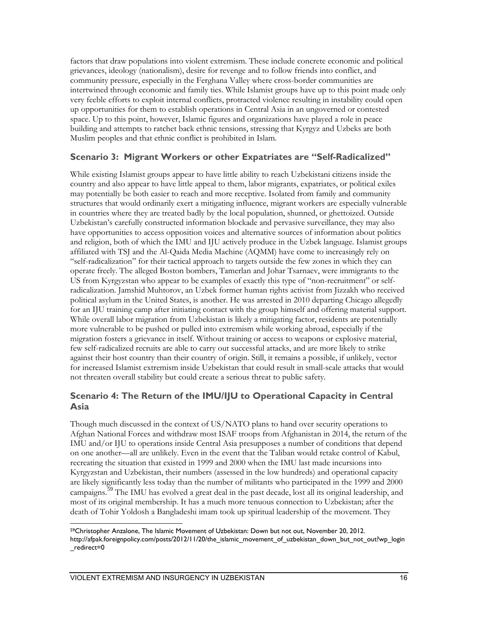factors that draw populations into violent extremism. These include concrete economic and political grievances, ideology (nationalism), desire for revenge and to follow friends into conflict, and community pressure, especially in the Ferghana Valley where cross-border communities are intertwined through economic and family ties. While Islamist groups have up to this point made only very feeble efforts to exploit internal conflicts, protracted violence resulting in instability could open up opportunities for them to establish operations in Central Asia in an ungoverned or contested space. Up to this point, however, Islamic figures and organizations have played a role in peace building and attempts to ratchet back ethnic tensions, stressing that Kyrgyz and Uzbeks are both Muslim peoples and that ethnic conflict is prohibited in Islam.

#### **Scenario 3: Migrant Workers or other Expatriates are "Self-Radicalized"**

While existing Islamist groups appear to have little ability to reach Uzbekistani citizens inside the country and also appear to have little appeal to them, labor migrants, expatriates, or political exiles may potentially be both easier to reach and more receptive. Isolated from family and community structures that would ordinarily exert a mitigating influence, migrant workers are especially vulnerable in countries where they are treated badly by the local population, shunned, or ghettoized. Outside Uzbekistan's carefully constructed information blockade and pervasive surveillance, they may also have opportunities to access opposition voices and alternative sources of information about politics and religion, both of which the IMU and IJU actively produce in the Uzbek language. Islamist groups affiliated with TSJ and the Al-Qaida Media Machine (AQMM) have come to increasingly rely on "self-radicalization" for their tactical approach to targets outside the few zones in which they can operate freely. The alleged Boston bombers, Tamerlan and Johar Tsarnaev, were immigrants to the US from Kyrgyzstan who appear to be examples of exactly this type of "non-recruitment" or selfradicalization. Jamshid Muhtorov, an Uzbek former human rights activist from Jizzakh who received political asylum in the United States, is another. He was arrested in 2010 departing Chicago allegedly for an IJU training camp after initiating contact with the group himself and offering material support. While overall labor migration from Uzbekistan is likely a mitigating factor, residents are potentially more vulnerable to be pushed or pulled into extremism while working abroad, especially if the migration fosters a grievance in itself. Without training or access to weapons or explosive material, few self-radicalized recruits are able to carry out successful attacks, and are more likely to strike against their host country than their country of origin. Still, it remains a possible, if unlikely, vector for increased Islamist extremism inside Uzbekistan that could result in small-scale attacks that would not threaten overall stability but could create a serious threat to public safety.

#### **Scenario 4: The Return of the IMU/IJU to Operational Capacity in Central Asia**

Though much discussed in the context of US/NATO plans to hand over security operations to Afghan National Forces and withdraw most ISAF troops from Afghanistan in 2014, the return of the IMU and/or IJU to operations inside Central Asia presupposes a number of conditions that depend on one another—all are unlikely. Even in the event that the Taliban would retake control of Kabul, recreating the situation that existed in 1999 and 2000 when the IMU last made incursions into Kyrgyzstan and Uzbekistan, their numbers (assessed in the low hundreds) and operational capacity are likely significantly less today than the number of militants who participated in the 1999 and 2000 campaigns.<sup>[59](#page-24-0)</sup> The IMU has evolved a great deal in the past decade, lost all its original leadership, and most of its original membership. It has a much more tenuous connection to Uzbekistan; after the death of Tohir Yoldosh a Bangladeshi imam took up spiritual leadership of the movement. They

<span id="page-24-0"></span> $\overline{a}$ 59Christopher Anzalone, The Islamic Movement of Uzbekistan: Down but not out, November 20, 2012. http://afpak.foreignpolicy.com/posts/2012/11/20/the\_islamic\_movement\_of\_uzbekistan\_down\_but\_not\_out?wp\_login \_redirect=0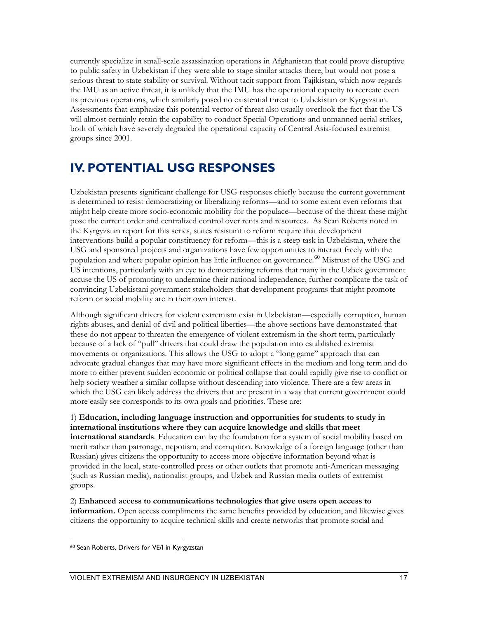currently specialize in small-scale assassination operations in Afghanistan that could prove disruptive to public safety in Uzbekistan if they were able to stage similar attacks there, but would not pose a serious threat to state stability or survival. Without tacit support from Tajikistan, which now regards the IMU as an active threat, it is unlikely that the IMU has the operational capacity to recreate even its previous operations, which similarly posed no existential threat to Uzbekistan or Kyrgyzstan. Assessments that emphasize this potential vector of threat also usually overlook the fact that the US will almost certainly retain the capability to conduct Special Operations and unmanned aerial strikes, both of which have severely degraded the operational capacity of Central Asia-focused extremist groups since 2001.

## **IV. POTENTIAL USG RESPONSES**

Uzbekistan presents significant challenge for USG responses chiefly because the current government is determined to resist democratizing or liberalizing reforms—and to some extent even reforms that might help create more socio-economic mobility for the populace—because of the threat these might pose the current order and centralized control over rents and resources. As Sean Roberts noted in the Kyrgyzstan report for this series, states resistant to reform require that development interventions build a popular constituency for reform—this is a steep task in Uzbekistan, where the USG and sponsored projects and organizations have few opportunities to interact freely with the population and where popular opinion has little influence on governance.<sup>[60](#page-25-0)</sup> Mistrust of the USG and US intentions, particularly with an eye to democratizing reforms that many in the Uzbek government accuse the US of promoting to undermine their national independence, further complicate the task of convincing Uzbekistani government stakeholders that development programs that might promote reform or social mobility are in their own interest.

Although significant drivers for violent extremism exist in Uzbekistan—especially corruption, human rights abuses, and denial of civil and political liberties—the above sections have demonstrated that these do not appear to threaten the emergence of violent extremism in the short term, particularly because of a lack of "pull" drivers that could draw the population into established extremist movements or organizations. This allows the USG to adopt a "long game" approach that can advocate gradual changes that may have more significant effects in the medium and long term and do more to either prevent sudden economic or political collapse that could rapidly give rise to conflict or help society weather a similar collapse without descending into violence. There are a few areas in which the USG can likely address the drivers that are present in a way that current government could more easily see corresponds to its own goals and priorities. These are:

1) **Education, including language instruction and opportunities for students to study in international institutions where they can acquire knowledge and skills that meet international standards**. Education can lay the foundation for a system of social mobility based on merit rather than patronage, nepotism, and corruption. Knowledge of a foreign language (other than Russian) gives citizens the opportunity to access more objective information beyond what is provided in the local, state-controlled press or other outlets that promote anti-American messaging (such as Russian media), nationalist groups, and Uzbek and Russian media outlets of extremist groups.

2) **Enhanced access to communications technologies that give users open access to information.** Open access compliments the same benefits provided by education, and likewise gives citizens the opportunity to acquire technical skills and create networks that promote social and

<span id="page-25-0"></span> $\overline{a}$ <sup>60</sup> Sean Roberts, Drivers for VE/I in Kyrgyzstan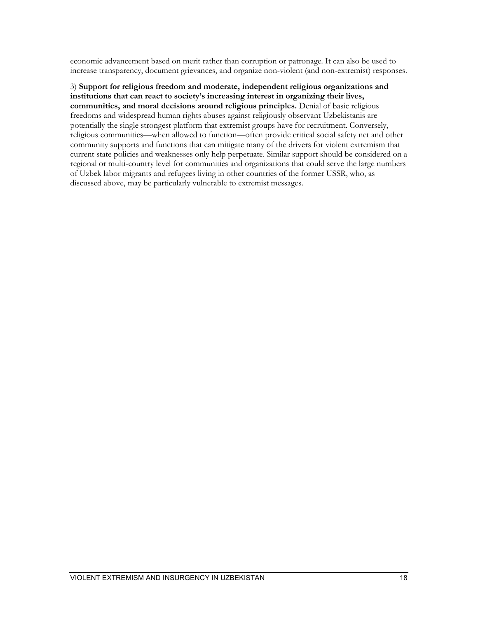economic advancement based on merit rather than corruption or patronage. It can also be used to increase transparency, document grievances, and organize non-violent (and non-extremist) responses.

3) **Support for religious freedom and moderate, independent religious organizations and institutions that can react to society's increasing interest in organizing their lives, communities, and moral decisions around religious principles.** Denial of basic religious freedoms and widespread human rights abuses against religiously observant Uzbekistanis are potentially the single strongest platform that extremist groups have for recruitment. Conversely, religious communities—when allowed to function—often provide critical social safety net and other community supports and functions that can mitigate many of the drivers for violent extremism that current state policies and weaknesses only help perpetuate. Similar support should be considered on a regional or multi-country level for communities and organizations that could serve the large numbers of Uzbek labor migrants and refugees living in other countries of the former USSR, who, as discussed above, may be particularly vulnerable to extremist messages.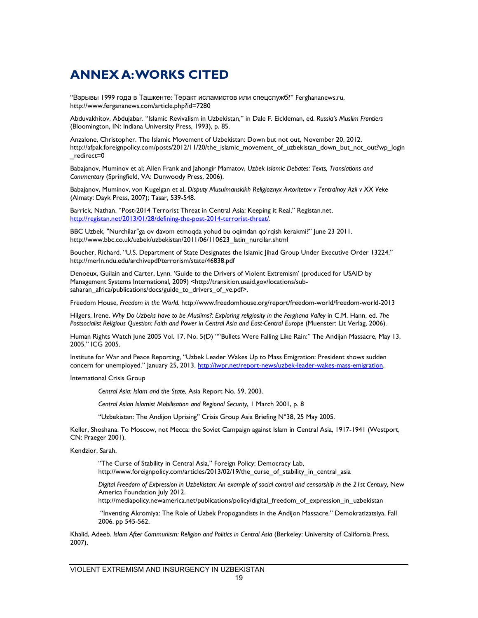# **ANNEX A: WORKS CITED**

"Взрывы 1999 года в Ташкенте: Теракт исламистов или спецслужб?" Ferghananews.ru, http://www.fergananews.com/article.php?id=7280

Abduvakhitov, Abdujabar. "Islamic Revivalism in Uzbekistan," in Dale F. Eickleman, ed. *Russia's Muslim Frontiers*  (Bloomington, IN: Indiana University Press, 1993), p. 85.

Anzalone, Christopher. The Islamic Movement of Uzbekistan: Down but not out, November 20, 2012. http://afpak.foreignpolicy.com/posts/2012/11/20/the\_islamic\_movement\_of\_uzbekistan\_down\_but\_not\_out?wp\_login \_redirect=0

Babajanov, Muminov et al; Allen Frank and Jahongir Mamatov, *Uzbek Islamic Debates: Texts, Translations and Commentary* (Springfield, VA: Dunwoody Press, 2006).

Babajanov, Muminov, von Kugelgan et al, *Disputy Musulmanskikh Religioznyx Avtoritetov v Tentralnoy Azii v XX Veke*  (Almaty: Dayk Press, 2007); Tasar, 539-548.

Barrick, Nathan. "Post-2014 Terrorist Threat in Central Asia: Keeping it Real," Registan.net, [http://registan.net/2013/01/28/defining-the-post-2014-terrorist-threat/.](http://registan.net/2013/01/28/defining-the-post-2014-terrorist-threat/) 

BBC Uzbek, "Nurchilar"ga ov davom etmoqda yohud bu oqimdan qo'rqish kerakmi?" June 23 2011. http://www.bbc.co.uk/uzbek/uzbekistan/2011/06/110623\_latin\_nurcilar.shtml

Boucher, Richard. "U.S. Department of State Designates the Islamic Jihad Group Under Executive Order 13224." http://merln.ndu.edu/archivepdf/terrorism/state/46838.pdf

Denoeux, Guilain and Carter, Lynn. 'Guide to the Drivers of Violent Extremism' (produced for USAID by Management Systems International, 2009) <http://transition.usaid.gov/locations/subsaharan\_africa/publications/docs/guide\_to\_drivers\_of\_ve.pdf>.

Freedom House, *Freedom in the World.* http://www.freedomhouse.org/report/freedom-world/freedom-world-2013

Hilgers, Irene. *Why Do Uzbeks have to be Muslims?: Exploring religiosity in the Ferghana Valley* in C.M. Hann, ed. *The*  Postsocialist Religious Question: Faith and Power in Central Asia and East-Central Europe (Muenster: Lit Verlag, 2006).

Human Rights Watch June 2005 Vol. 17, No. 5(D) ""Bullets Were Falling Like Rain:" The Andijan Massacre, May 13, 2005." ICG 2005.

Institute for War and Peace Reporting, "Uzbek Leader Wakes Up to Mass Emigration: President shows sudden concern for unemployed." January 25, 2013. http://iwpr.net/report-news/uzbek-leader-wakes-mass-emigration.

International Crisis Group

*Central Asia: Islam and the State*, Asia Report No. 59, 2003.

*Central Asian Islamist Mobilisation and Regional Security*, 1 March 2001, p. 8

"Uzbekistan: The Andijon Uprising" Crisis Group Asia Briefing N°38, 25 May 2005.

Keller, Shoshana. To Moscow, not Mecca: the Soviet Campaign against Islam in Central Asia, 1917-1941 (Westport, CN: Praeger 2001).

Kendzior, Sarah.

"The Curse of Stability in Central Asia," Foreign Policy: Democracy Lab, http://www.foreignpolicy.com/articles/2013/02/19/the\_curse\_of\_stability\_in\_central\_asia

*Digital Freedom of Expression in Uzbekistan: An example of social control and censorship in the 21st Century, New* America Foundation July 2012.

http://mediapolicy.newamerica.net/publications/policy/digital freedom of expression in uzbekistan

"Inventing Akromiya: The Role of Uzbek Propogandists in the Andijon Massacre." Demokratizatsiya, Fall 2006. pp 545-562.

Khalid, Adeeb. *Islam After Communism: Religion and Politics in Central Asia* (Berkeley: University of California Press, 2007),